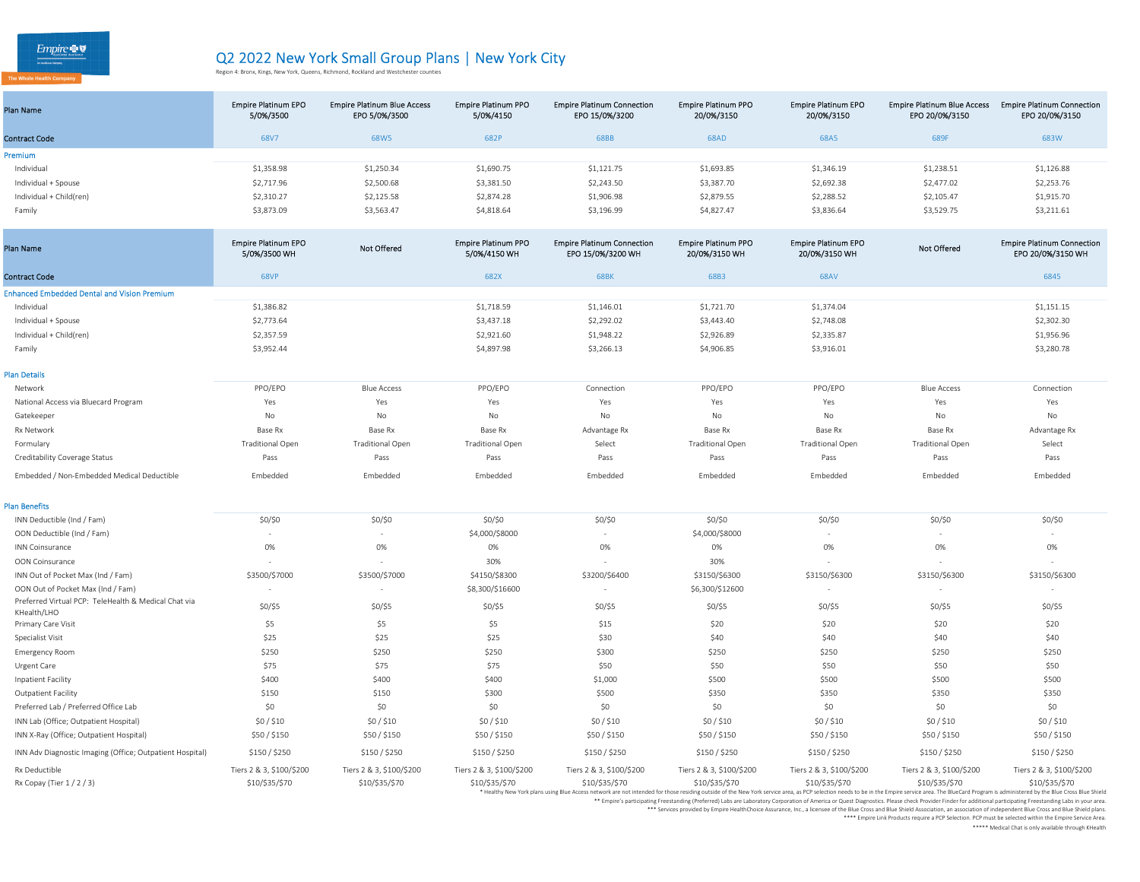| Plan Name               | <b>Empire Platinum EPO</b><br>5/0%/3500 | <b>Empire Platinum Blue Access</b><br>EPO 5/0%/3500 | <b>Empire Platinum PPO</b><br>5/0%/4150 | <b>Empire Platinum Connection</b><br>EPO 15/0%/3200 | <b>Empire Platinum PPO</b><br>20/0%/3150 | <b>Empire Platinum EPO</b><br>20/0%/3150 | <b>Empire Platinum Blue Access</b><br>EPO 20/0%/3150 | <b>Empire Platinum Connection</b><br>EPO 20/0%/3150 |
|-------------------------|-----------------------------------------|-----------------------------------------------------|-----------------------------------------|-----------------------------------------------------|------------------------------------------|------------------------------------------|------------------------------------------------------|-----------------------------------------------------|
| <b>Contract Code</b>    | 68V7                                    | 68W5                                                | 682P                                    | 68BB                                                | <b>68AD</b>                              | 68A5                                     | 689F                                                 | 683W                                                |
| Premium                 |                                         |                                                     |                                         |                                                     |                                          |                                          |                                                      |                                                     |
| Individual              | \$1,358.98                              | \$1,250.34                                          | \$1,690.75                              | \$1,121.75                                          | \$1,693.85                               | \$1,346.19                               | \$1,238.51                                           | \$1,126.88                                          |
| Individual + Spouse     | \$2,717.96                              | \$2,500.68                                          | \$3,381.50                              | \$2,243.50                                          | \$3,387.70                               | \$2,692.38                               | \$2,477.02                                           | \$2,253.76                                          |
| Individual + Child(ren) | \$2,310.27                              | \$2,125.58                                          | \$2,874.28                              | \$1,906.98                                          | \$2,879.55                               | \$2,288.52                               | \$2,105.47                                           | \$1,915.70                                          |
| Family                  | \$3,873.09                              | \$3,563.47                                          | \$4,818.64                              | \$3,196.99                                          | \$4,827.47                               | \$3,836.64                               | \$3,529.75                                           | \$3,211.61                                          |

| <b>Plan Name</b>                                                    | <b>Empire Platinum EPO</b><br>5/0%/3500 WH | <b>Not Offered</b>       | <b>Empire Platinum PPO</b><br>5/0%/4150 WH | <b>Empire Platinum Connection</b><br>EPO 15/0%/3200 WH                                                                                                                                                                                          | <b>Empire Platinum PPO</b><br>20/0%/3150 WH | <b>Empire Platinum EPO</b><br>20/0%/3150 WH | <b>Not Offered</b>       | <b>Empire Platinum Connection</b><br>EPO 20/0%/3150 WH |
|---------------------------------------------------------------------|--------------------------------------------|--------------------------|--------------------------------------------|-------------------------------------------------------------------------------------------------------------------------------------------------------------------------------------------------------------------------------------------------|---------------------------------------------|---------------------------------------------|--------------------------|--------------------------------------------------------|
| <b>Contract Code</b>                                                | <b>68VP</b>                                |                          | 682X                                       | <b>68BK</b>                                                                                                                                                                                                                                     | 68B3                                        | 68AV                                        |                          | 6845                                                   |
| <b>Enhanced Embedded Dental and Vision Premium</b>                  |                                            |                          |                                            |                                                                                                                                                                                                                                                 |                                             |                                             |                          |                                                        |
| Individual                                                          | \$1,386.82                                 |                          | \$1,718.59                                 | \$1,146.01                                                                                                                                                                                                                                      | \$1,721.70                                  | \$1,374.04                                  |                          | \$1,151.15                                             |
| Individual + Spouse                                                 | \$2,773.64                                 |                          | \$3,437.18                                 | \$2,292.02                                                                                                                                                                                                                                      | \$3,443.40                                  | \$2,748.08                                  |                          | \$2,302.30                                             |
| Individual + Child(ren)                                             | \$2,357.59                                 |                          | \$2,921.60                                 | \$1,948.22                                                                                                                                                                                                                                      | \$2,926.89                                  | \$2,335.87                                  |                          | \$1,956.96                                             |
| Family                                                              | \$3,952.44                                 |                          | \$4,897.98                                 | \$3,266.13                                                                                                                                                                                                                                      | \$4,906.85                                  | \$3,916.01                                  |                          | \$3,280.78                                             |
| <b>Plan Details</b>                                                 |                                            |                          |                                            |                                                                                                                                                                                                                                                 |                                             |                                             |                          |                                                        |
| Network                                                             | PPO/EPO                                    | <b>Blue Access</b>       | PPO/EPO                                    | Connection                                                                                                                                                                                                                                      | PPO/EPO                                     | PPO/EPO                                     | <b>Blue Access</b>       | Connection                                             |
| National Access via Bluecard Program                                | Yes                                        | Yes                      | Yes                                        | Yes                                                                                                                                                                                                                                             | Yes                                         | Yes                                         | Yes                      | Yes                                                    |
| Gatekeeper                                                          | No                                         | <b>No</b>                | No                                         | No                                                                                                                                                                                                                                              | No                                          | No                                          | No                       | No                                                     |
| Rx Network                                                          | Base Rx                                    | Base Rx                  | Base Rx                                    | Advantage Rx                                                                                                                                                                                                                                    | Base Rx                                     | Base Rx                                     | Base Rx                  | Advantage Rx                                           |
| Formulary                                                           | <b>Traditional Open</b>                    | <b>Traditional Open</b>  | <b>Traditional Open</b>                    | Select                                                                                                                                                                                                                                          | <b>Traditional Open</b>                     | <b>Traditional Open</b>                     | <b>Traditional Open</b>  | Select                                                 |
| Creditability Coverage Status                                       | Pass                                       | Pass                     | Pass                                       | Pass                                                                                                                                                                                                                                            | Pass                                        | Pass                                        | Pass                     | Pass                                                   |
| Embedded / Non-Embedded Medical Deductible                          | Embedded                                   | Embedded                 | Embedded                                   | Embedded                                                                                                                                                                                                                                        | Embedded                                    | Embedded                                    | Embedded                 | Embedded                                               |
| <b>Plan Benefits</b>                                                |                                            |                          |                                            |                                                                                                                                                                                                                                                 |                                             |                                             |                          |                                                        |
| INN Deductible (Ind / Fam)                                          | \$0/\$0                                    | \$0/\$0                  | \$0/\$0                                    | \$0/\$0                                                                                                                                                                                                                                         | \$0/\$0                                     | \$0/\$0                                     | \$0/\$0                  | \$0/\$0                                                |
| OON Deductible (Ind / Fam)                                          |                                            |                          | \$4,000/\$8000                             |                                                                                                                                                                                                                                                 | \$4,000/\$8000                              |                                             | $\overline{\phantom{a}}$ |                                                        |
| <b>INN Coinsurance</b>                                              | 0%                                         | 0%                       | 0%                                         | 0%                                                                                                                                                                                                                                              | 0%                                          | 0%                                          | 0%                       | 0%                                                     |
| OON Coinsurance                                                     | $\sim$                                     |                          | 30%                                        |                                                                                                                                                                                                                                                 | 30%                                         |                                             |                          |                                                        |
| INN Out of Pocket Max (Ind / Fam)                                   | \$3500/\$7000                              | \$3500/\$7000            | \$4150/\$8300                              | \$3200/\$6400                                                                                                                                                                                                                                   | \$3150/\$6300                               | \$3150/\$6300                               | \$3150/\$6300            | \$3150/\$6300                                          |
| OON Out of Pocket Max (Ind / Fam)                                   | $\sim$                                     | $\overline{\phantom{a}}$ | \$8,300/\$16600                            | $\sim$                                                                                                                                                                                                                                          | \$6,300/\$12600                             | $\sim$                                      | $\sim$                   | $\sim$                                                 |
| Preferred Virtual PCP: TeleHealth & Medical Chat via<br>KHealth/LHO | $$0/$ \$5                                  | $$0/$ \$5                | $$0/$ \$5                                  | $$0/$ \$5                                                                                                                                                                                                                                       | $$0/$ \$5                                   | $$0/$ \$5                                   | $$0/$ \$5                | $$0/$ \$5                                              |
| Primary Care Visit                                                  | \$5                                        | \$5                      | \$5                                        | \$15                                                                                                                                                                                                                                            | \$20                                        | \$20                                        | \$20                     | \$20                                                   |
| Specialist Visit                                                    | \$25                                       | \$25                     | \$25                                       | \$30                                                                                                                                                                                                                                            | \$40                                        | \$40                                        | \$40                     | \$40                                                   |
| <b>Emergency Room</b>                                               | \$250                                      | \$250                    | \$250                                      | \$300                                                                                                                                                                                                                                           | \$250                                       | \$250                                       | \$250                    | \$250                                                  |
| Urgent Care                                                         | \$75                                       | \$75                     | \$75                                       | \$50                                                                                                                                                                                                                                            | \$50                                        | \$50                                        | \$50                     | \$50                                                   |
| Inpatient Facility                                                  | \$400                                      | \$400                    | \$400                                      | \$1,000                                                                                                                                                                                                                                         | \$500                                       | \$500                                       | \$500                    | \$500                                                  |
| <b>Outpatient Facility</b>                                          | \$150                                      | \$150                    | \$300                                      | \$500                                                                                                                                                                                                                                           | \$350                                       | \$350                                       | \$350                    | \$350                                                  |
| Preferred Lab / Preferred Office Lab                                | \$0                                        | \$0                      | \$0                                        | \$0                                                                                                                                                                                                                                             | \$0                                         | \$0                                         | \$0                      | \$0                                                    |
| INN Lab (Office; Outpatient Hospital)                               | \$0/\$10                                   | \$0/ \$10                | \$0/ \$10                                  | \$0/\$10                                                                                                                                                                                                                                        | \$0/\$10                                    | \$0/\$10                                    | \$0/\$10                 | \$0/\$10                                               |
| INN X-Ray (Office; Outpatient Hospital)                             | \$50/\$150                                 | \$50/\$150               | \$50/\$150                                 | \$50/\$150                                                                                                                                                                                                                                      | \$50/\$150                                  | \$50/\$150                                  | \$50/\$150               | \$50/\$150                                             |
| INN Adv Diagnostic Imaging (Office; Outpatient Hospital)            | \$150 / \$250                              | \$150 / \$250            | \$150/\$250                                | \$150/\$250                                                                                                                                                                                                                                     | \$150 / \$250                               | \$150/\$250                                 | \$150/\$250              | \$150/\$250                                            |
| Rx Deductible                                                       | Tiers 2 & 3, \$100/\$200                   | Tiers 2 & 3, \$100/\$200 | Tiers 2 & 3, \$100/\$200                   | Tiers 2 & 3, \$100/\$200                                                                                                                                                                                                                        | Tiers 2 & 3, \$100/\$200                    | Tiers 2 & 3, \$100/\$200                    | Tiers 2 & 3, \$100/\$200 | Tiers 2 & 3, \$100/\$200                               |
| Rx Copay (Tier 1 / 2 / 3)                                           | \$10/\$35/\$70                             | \$10/\$35/\$70           | \$10/\$35/\$70                             | \$10/\$35/\$70<br>* Healthy New York plans using Blue Access network are not intended for those residing outside of the New York service area, as PCP selection needs to be in the Empire service area. The BlueCard Program is administered by | \$10/\$35/\$70                              | \$10/\$35/\$70                              | \$10/\$35/\$70           | \$10/\$35/\$70                                         |

\*\* Empire's participating Freestanding (Preferred) Labs are Laboratory Corporation of America or Quest Diagnostics. Please check Provider Finder for additional participating Freestanding Labs in your area.

ervices provided by Empire HealthChoice Assurance, Inc., a licensee of the Blue Cross and Blue Shield Association, an association of independent Blue Cross and Blue Shield plans.<br>Empire Link Products require a PCP Selectio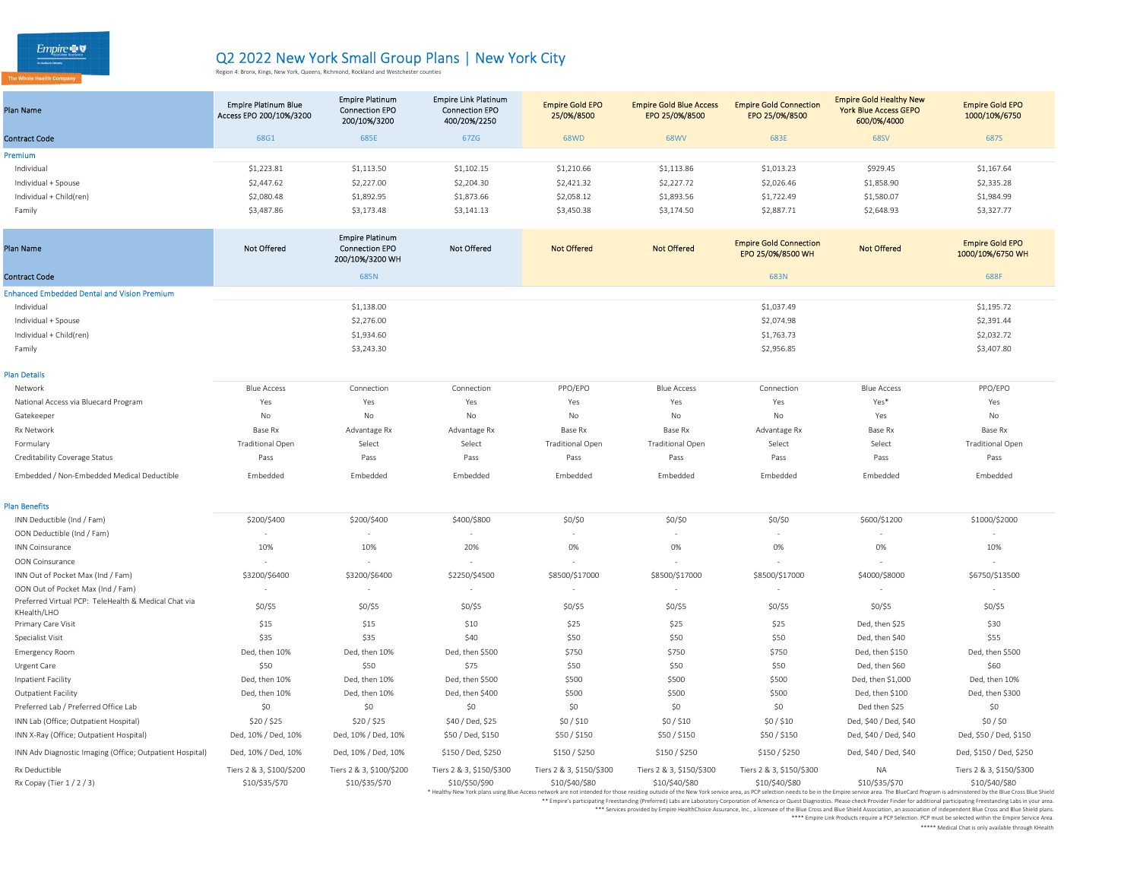| Plan Name               | <b>Empire Platinum Blue</b><br>Access EPO 200/10%/3200 | <b>Empire Platinum</b><br><b>Connection EPO</b><br>200/10%/3200 | <b>Empire Link Platinum</b><br><b>Connection EPO</b><br>400/20%/2250 | <b>Empire Gold EPO</b><br>25/0%/8500 | <b>Empire Gold Blue Access</b><br>EPO 25/0%/8500 | <b>Empire Gold Connection</b><br>EPO 25/0%/8500 | <b>Empire Gold Healthy New</b><br><b>York Blue Access GEPO</b><br>600/0%/4000 | <b>Empire Gold EPO</b><br>1000/10%/6750 |  |
|-------------------------|--------------------------------------------------------|-----------------------------------------------------------------|----------------------------------------------------------------------|--------------------------------------|--------------------------------------------------|-------------------------------------------------|-------------------------------------------------------------------------------|-----------------------------------------|--|
| <b>Contract Code</b>    | 68G1                                                   | 685E                                                            | 67ZG                                                                 | <b>68WD</b>                          | <b>68WV</b>                                      | 683E                                            | <b>68SV</b>                                                                   | 687S                                    |  |
| Premium                 |                                                        |                                                                 |                                                                      |                                      |                                                  |                                                 |                                                                               |                                         |  |
| Individual              | \$1,223.81                                             | \$1,113.50                                                      | \$1,102.15                                                           | \$1,210.66                           | \$1,113.86                                       | \$1,013.23                                      | \$929.45                                                                      | \$1,167.64                              |  |
| Individual + Spouse     | \$2,447.62                                             | \$2,227.00                                                      | \$2,204.30                                                           | \$2,421.32                           | \$2,227.72                                       | \$2,026.46                                      | \$1,858.90                                                                    | \$2,335.28                              |  |
| Individual + Child(ren) | \$2,080.48                                             | \$1,892.95                                                      | \$1,873.66                                                           | \$2,058.12                           | \$1,893.56                                       | \$1,722.49                                      | \$1,580.07                                                                    | \$1,984.99                              |  |
| Family                  | \$3,487.86                                             | \$3,173.48                                                      | \$3,141.13                                                           | \$3,450.38                           | \$3,174.50                                       | \$2,887.71                                      | \$2,648.93                                                                    | \$3,327.77                              |  |

| Plan Name                                                           | <b>Not Offered</b>       | <b>Empire Platinum</b><br><b>Connection EPO</b><br>200/10%/3200 WH | <b>Not Offered</b>       | <b>Not Offered</b>       | <b>Not Offered</b>       | <b>Empire Gold Connection</b><br>EPO 25/0%/8500 WH | <b>Not Offered</b>    | <b>Empire Gold EPO</b><br>1000/10%/6750 WH                                                                                                                                                                                                      |
|---------------------------------------------------------------------|--------------------------|--------------------------------------------------------------------|--------------------------|--------------------------|--------------------------|----------------------------------------------------|-----------------------|-------------------------------------------------------------------------------------------------------------------------------------------------------------------------------------------------------------------------------------------------|
| <b>Contract Code</b>                                                |                          | 685N                                                               |                          |                          |                          | 683N                                               |                       | 688F                                                                                                                                                                                                                                            |
| <b>Enhanced Embedded Dental and Vision Premium</b>                  |                          |                                                                    |                          |                          |                          |                                                    |                       |                                                                                                                                                                                                                                                 |
| Individual                                                          |                          | \$1,138.00                                                         |                          |                          |                          | \$1,037.49                                         |                       | \$1,195.72                                                                                                                                                                                                                                      |
| Individual + Spouse                                                 |                          | \$2,276.00                                                         |                          |                          |                          | \$2,074.98                                         |                       | \$2,391.44                                                                                                                                                                                                                                      |
| Individual + Child(ren)                                             |                          | \$1,934.60                                                         |                          |                          |                          | \$1,763.73                                         |                       | \$2,032.72                                                                                                                                                                                                                                      |
| Family                                                              |                          | \$3,243.30                                                         |                          |                          |                          | \$2,956.85                                         |                       | \$3,407.80                                                                                                                                                                                                                                      |
| Plan Details                                                        |                          |                                                                    |                          |                          |                          |                                                    |                       |                                                                                                                                                                                                                                                 |
| Network                                                             | <b>Blue Access</b>       | Connection                                                         | Connection               | PPO/EPO                  | <b>Blue Access</b>       | Connection                                         | <b>Blue Access</b>    | PPO/EPO                                                                                                                                                                                                                                         |
| National Access via Bluecard Program                                | Yes                      | Yes                                                                | Yes                      | Yes                      | Yes                      | Yes                                                | Yes*                  | Yes                                                                                                                                                                                                                                             |
| Gatekeeper                                                          | No                       | No                                                                 | No                       | No                       | No                       | No                                                 | Yes                   | No                                                                                                                                                                                                                                              |
| Rx Network                                                          | Base Rx                  | Advantage Rx                                                       | Advantage Rx             | Base Rx                  | Base Rx                  | Advantage Rx                                       | Base Rx               | Base Rx                                                                                                                                                                                                                                         |
| Formulary                                                           | <b>Traditional Open</b>  | Select                                                             | Select                   | <b>Traditional Open</b>  | <b>Traditional Open</b>  | Select                                             | Select                | <b>Traditional Open</b>                                                                                                                                                                                                                         |
| Creditability Coverage Status                                       | Pass                     | Pass                                                               | Pass                     | Pass                     | Pass                     | Pass                                               | Pass                  | Pass                                                                                                                                                                                                                                            |
| Embedded / Non-Embedded Medical Deductible                          | Embedded                 | Embedded                                                           | Embedded                 | Embedded                 | Embedded                 | Embedded                                           | Embedded              | Embedded                                                                                                                                                                                                                                        |
| <b>Plan Benefits</b>                                                |                          |                                                                    |                          |                          |                          |                                                    |                       |                                                                                                                                                                                                                                                 |
| INN Deductible (Ind / Fam)                                          | \$200/\$400              | \$200/\$400                                                        | \$400/\$800              | \$0/\$0                  | \$0/\$0                  | \$0/\$0                                            | \$600/\$1200          | \$1000/\$2000                                                                                                                                                                                                                                   |
| OON Deductible (Ind / Fam)                                          |                          |                                                                    | ٠                        |                          |                          |                                                    |                       |                                                                                                                                                                                                                                                 |
| <b>INN Coinsurance</b>                                              | 10%                      | 10%                                                                | 20%                      | 0%                       | 0%                       | 0%                                                 | 0%                    | 10%                                                                                                                                                                                                                                             |
| OON Coinsurance                                                     |                          |                                                                    |                          |                          |                          |                                                    |                       | $\sim$                                                                                                                                                                                                                                          |
| INN Out of Pocket Max (Ind / Fam)                                   | \$3200/\$6400            | \$3200/\$6400                                                      | \$2250/\$4500            | \$8500/\$17000           | \$8500/\$17000           | \$8500/\$17000                                     | \$4000/\$8000         | \$6750/\$13500                                                                                                                                                                                                                                  |
| OON Out of Pocket Max (Ind / Fam)                                   | $\overline{\phantom{a}}$ |                                                                    | $\overline{\phantom{a}}$ | $\sim$                   |                          | $\sim$                                             | ٠                     | $\sim$                                                                                                                                                                                                                                          |
| Preferred Virtual PCP: TeleHealth & Medical Chat via<br>KHealth/LHO | $$0/$ \$5                | $$0/$ \$5                                                          | \$0/\$5                  | $$0/$ \$5                | $$0/$ \$5                | \$0/\$5                                            | \$0/\$5               | \$0/\$5                                                                                                                                                                                                                                         |
| Primary Care Visit                                                  | \$15                     | \$15                                                               | \$10                     | \$25                     | \$25                     | \$25                                               | Ded. then \$25        | \$30                                                                                                                                                                                                                                            |
| Specialist Visit                                                    | \$35                     | \$35                                                               | \$40                     | \$50                     | \$50                     | \$50                                               | Ded, then \$40        | \$55                                                                                                                                                                                                                                            |
| <b>Emergency Room</b>                                               | Ded, then 10%            | Ded, then 10%                                                      | Ded, then \$500          | \$750                    | \$750                    | \$750                                              | Ded, then \$150       | Ded, then \$500                                                                                                                                                                                                                                 |
| Urgent Care                                                         | \$50                     | \$50                                                               | \$75                     | \$50                     | \$50                     | \$50                                               | Ded, then \$60        | \$60                                                                                                                                                                                                                                            |
| Inpatient Facility                                                  | Ded, then 10%            | Ded, then 10%                                                      | Ded, then \$500          | \$500                    | \$500                    | \$500                                              | Ded, then \$1,000     | Ded, then 10%                                                                                                                                                                                                                                   |
| Outpatient Facility                                                 | Ded, then 10%            | Ded, then 10%                                                      | Ded, then \$400          | \$500                    | \$500                    | \$500                                              | Ded, then \$100       | Ded, then \$300                                                                                                                                                                                                                                 |
| Preferred Lab / Preferred Office Lab                                | \$0                      | \$0                                                                | \$0                      | \$0                      | \$0                      | \$0                                                | Ded then \$25         | \$0                                                                                                                                                                                                                                             |
| INN Lab (Office; Outpatient Hospital)                               | \$20/\$25                | \$20/ \$25                                                         | \$40 / Ded, \$25         | \$0/\$10                 | \$0/\$10                 | \$0/\$10                                           | Ded, \$40 / Ded, \$40 | $$0/$ \$0                                                                                                                                                                                                                                       |
| INN X-Ray (Office; Outpatient Hospital)                             | Ded, 10% / Ded, 10%      | Ded, 10% / Ded, 10%                                                | \$50 / Ded, \$150        | \$50/\$150               | \$50/\$150               | \$50/\$150                                         | Ded, \$40 / Ded, \$40 | Ded, \$50 / Ded, \$150                                                                                                                                                                                                                          |
| INN Adv Diagnostic Imaging (Office; Outpatient Hospital)            | Ded, 10% / Ded, 10%      | Ded, 10% / Ded, 10%                                                | \$150 / Ded, \$250       | \$150 / \$250            | \$150/\$250              | \$150 / \$250                                      | Ded, \$40 / Ded, \$40 | Ded, \$150 / Ded, \$250                                                                                                                                                                                                                         |
| Rx Deductible                                                       | Tiers 2 & 3, \$100/\$200 | Tiers 2 & 3, \$100/\$200                                           | Tiers 2 & 3, \$150/\$300 | Tiers 2 & 3, \$150/\$300 | Tiers 2 & 3, \$150/\$300 | Tiers 2 & 3, \$150/\$300                           | <b>NA</b>             | Tiers 2 & 3, \$150/\$300                                                                                                                                                                                                                        |
| Rx Copay (Tier 1 / 2 / 3)                                           | \$10/\$35/\$70           | \$10/\$35/\$70                                                     | \$10/\$50/\$90           | \$10/\$40/\$80           | \$10/\$40/\$80           | \$10/\$40/\$80                                     | \$10/\$35/\$70        | \$10/\$40/\$80<br>* Healthy New York plans using Blue Access network are not intended for those residing outside of the New York service area, as PCP selection needs to be in the Empire service area. The BlueCard Program is administered by |

\*\* Empire's participating Freestanding (Preferred) Labs are Laboratory Corporation of America or Quest Diagnostics. Please check Provider Finder for additional participating Freestanding Labs in your area.

ervices provided by Empire HealthChoice Assurance, Inc., a licensee of the Blue Cross and Blue Shield Association, an association of independent Blue Cross and Blue Shield plans.<br>Empire Link Products require a PCP Selectio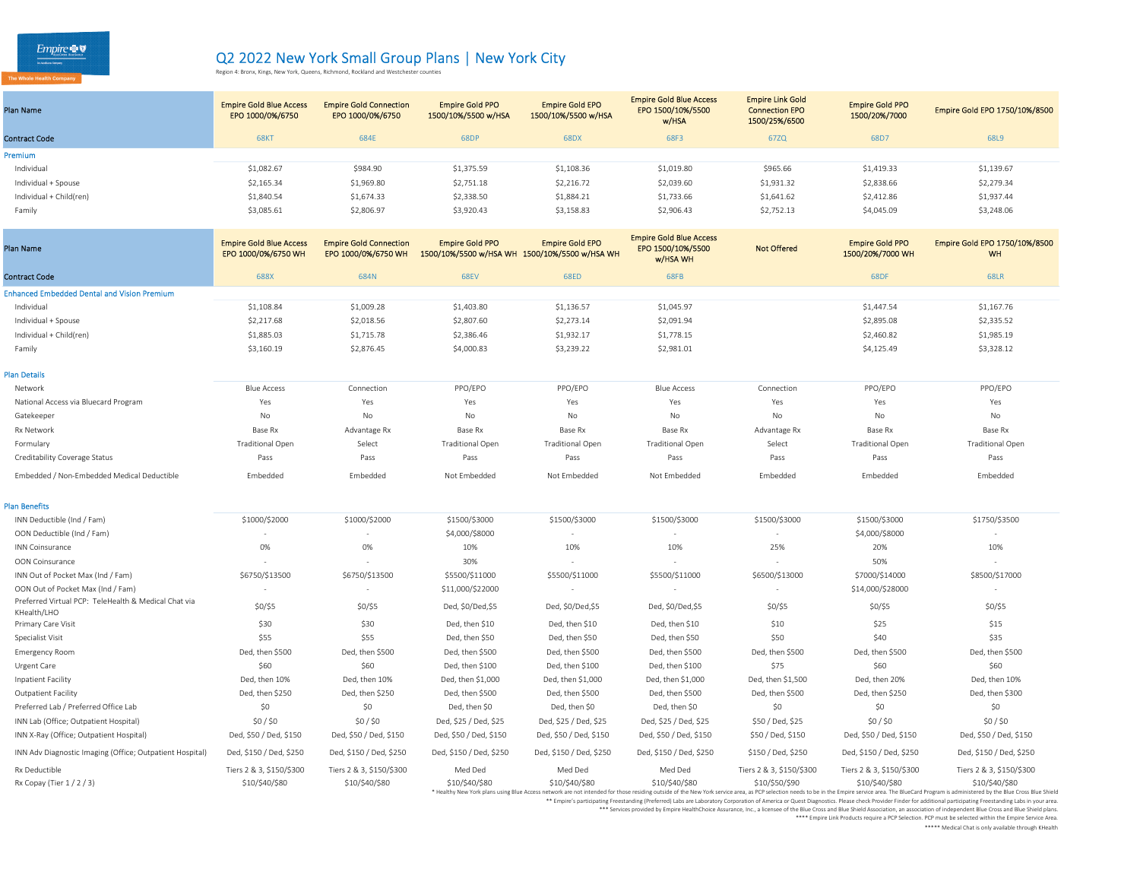| Plan Name               | <b>Empire Gold Blue Access</b><br>EPO 1000/0%/6750 | <b>Empire Gold Connection</b><br>EPO 1000/0%/6750 | <b>Empire Gold PPO</b><br>1500/10%/5500 w/HSA | <b>Empire Gold EPO</b><br>1500/10%/5500 w/HSA | <b>Empire Gold Blue Access</b><br>EPO 1500/10%/5500<br>w/HSA | <b>Empire Link Gold</b><br><b>Connection EPO</b><br>1500/25%/6500 | <b>Empire Gold PPO</b><br>1500/20%/7000 | Empire Gold EPO 1750/10%/8500 |
|-------------------------|----------------------------------------------------|---------------------------------------------------|-----------------------------------------------|-----------------------------------------------|--------------------------------------------------------------|-------------------------------------------------------------------|-----------------------------------------|-------------------------------|
| <b>Contract Code</b>    | <b>68KT</b>                                        | 684E                                              | <b>68DF</b>                                   | 68DX                                          | 68F3                                                         | 67ZQ                                                              | 68D7                                    | 68L9                          |
| <b>Premium</b>          |                                                    |                                                   |                                               |                                               |                                                              |                                                                   |                                         |                               |
| Individual              | \$1,082.67                                         | \$984.90                                          | \$1,375.59                                    | \$1,108.36                                    | \$1,019.80                                                   | \$965.66                                                          | \$1,419.33                              | \$1,139.67                    |
| Individual + Spouse     | \$2,165.34                                         | \$1,969.80                                        | \$2,751.18                                    | \$2,216.72                                    | \$2,039.60                                                   | \$1,931.32                                                        | \$2,838.66                              | \$2,279.34                    |
| Individual + Child(ren) | \$1,840.54                                         | \$1,674.33                                        | \$2,338.50                                    | \$1,884.21                                    | \$1,733.66                                                   | \$1,641.62                                                        | \$2,412.86                              | \$1,937.44                    |
| Family                  | \$3,085.61                                         | \$2,806.97                                        | \$3,920.43                                    | \$3,158.83                                    | \$2,906.43                                                   | \$2,752.13                                                        | \$4,045.09                              | \$3,248.06                    |
|                         |                                                    |                                                   |                                               |                                               |                                                              |                                                                   |                                         |                               |

| <b>Plan Name</b>                                                    | <b>Empire Gold Blue Access</b><br>EPO 1000/0%/6750 WH | <b>Empire Gold Connection</b><br>EPO 1000/0%/6750 WH | <b>Empire Gold PPO</b><br>1500/10%/5500 w/HSA WH 1500/10%/5500 w/HSA WH | <b>Empire Gold EPO</b>  | <b>Empire Gold Blue Access</b><br>EPO 1500/10%/5500<br><b>w/HSA WH</b> | <b>Not Offered</b>       | <b>Empire Gold PPO</b><br>1500/20%/7000 WH | Empire Gold EPO 1750/10%/8500<br><b>WH</b>                                                                                                                                                                                                      |
|---------------------------------------------------------------------|-------------------------------------------------------|------------------------------------------------------|-------------------------------------------------------------------------|-------------------------|------------------------------------------------------------------------|--------------------------|--------------------------------------------|-------------------------------------------------------------------------------------------------------------------------------------------------------------------------------------------------------------------------------------------------|
| <b>Contract Code</b>                                                | 688X                                                  | 684N                                                 | <b>68EV</b>                                                             | 68ED                    | 68FB                                                                   |                          | 68DF                                       | <b>68LR</b>                                                                                                                                                                                                                                     |
| <b>Enhanced Embedded Dental and Vision Premium</b>                  |                                                       |                                                      |                                                                         |                         |                                                                        |                          |                                            |                                                                                                                                                                                                                                                 |
| Individual                                                          | \$1,108.84                                            | \$1,009.28                                           | \$1,403.80                                                              | \$1,136.57              | \$1,045.97                                                             |                          | \$1,447.54                                 | \$1,167.76                                                                                                                                                                                                                                      |
| Individual + Spouse                                                 | \$2,217.68                                            | \$2,018.56                                           | \$2,807.60                                                              | \$2,273.14              | \$2,091.94                                                             |                          | \$2,895.08                                 | \$2,335.52                                                                                                                                                                                                                                      |
| Individual + Child(ren)                                             | \$1,885.03                                            | \$1,715.78                                           | \$2,386.46                                                              | \$1,932.17              | \$1,778.15                                                             |                          | \$2,460.82                                 | \$1,985.19                                                                                                                                                                                                                                      |
| Family                                                              | \$3,160.19                                            | \$2,876.45                                           | \$4,000.83                                                              | \$3,239.22              | \$2,981.01                                                             |                          | \$4,125.49                                 | \$3,328.12                                                                                                                                                                                                                                      |
| <b>Plan Details</b>                                                 |                                                       |                                                      |                                                                         |                         |                                                                        |                          |                                            |                                                                                                                                                                                                                                                 |
| Network                                                             | <b>Blue Access</b>                                    | Connection                                           | PPO/EPO                                                                 | PPO/EPO                 | <b>Blue Access</b>                                                     | Connection               | PPO/EPO                                    | PPO/EPO                                                                                                                                                                                                                                         |
| National Access via Bluecard Program                                | Yes                                                   | Yes                                                  | Yes                                                                     | Yes                     | Yes                                                                    | Yes                      | Yes                                        | Yes                                                                                                                                                                                                                                             |
| Gatekeeper                                                          | No                                                    | No                                                   | No                                                                      | No                      | No                                                                     | No                       | No                                         | No                                                                                                                                                                                                                                              |
| <b>Rx Network</b>                                                   | Base Rx                                               | Advantage Rx                                         | Base Rx                                                                 | Base Rx                 | Base Rx                                                                | Advantage Rx             | Base Rx                                    | Base Rx                                                                                                                                                                                                                                         |
| Formulary                                                           | <b>Traditional Open</b>                               | Select                                               | <b>Traditional Open</b>                                                 | <b>Traditional Open</b> | <b>Traditional Open</b>                                                | Select                   | <b>Traditional Open</b>                    | <b>Traditional Open</b>                                                                                                                                                                                                                         |
| Creditability Coverage Status                                       | Pass                                                  | Pass                                                 | Pass                                                                    | Pass                    | Pass                                                                   | Pass                     | Pass                                       | Pass                                                                                                                                                                                                                                            |
| Embedded / Non-Embedded Medical Deductible                          | Embedded                                              | Embedded                                             | Not Embedded                                                            | Not Embedded            | Not Embedded                                                           | Embedded                 | Embedded                                   | Embedded                                                                                                                                                                                                                                        |
| <b>Plan Benefits</b>                                                |                                                       |                                                      |                                                                         |                         |                                                                        |                          |                                            |                                                                                                                                                                                                                                                 |
| INN Deductible (Ind / Fam)                                          | \$1000/\$2000                                         | \$1000/\$2000                                        | \$1500/\$3000                                                           | \$1500/\$3000           | \$1500/\$3000                                                          | \$1500/\$3000            | \$1500/\$3000                              | \$1750/\$3500                                                                                                                                                                                                                                   |
| OON Deductible (Ind / Fam)                                          |                                                       |                                                      | \$4,000/\$8000                                                          |                         |                                                                        |                          | \$4,000/\$8000                             |                                                                                                                                                                                                                                                 |
| <b>INN Coinsurance</b>                                              | 0%                                                    | 0%                                                   | 10%                                                                     | 10%                     | 10%                                                                    | 25%                      | 20%                                        | 10%                                                                                                                                                                                                                                             |
| OON Coinsurance                                                     |                                                       |                                                      | 30%                                                                     |                         |                                                                        |                          | 50%                                        |                                                                                                                                                                                                                                                 |
| INN Out of Pocket Max (Ind / Fam)                                   | \$6750/\$13500                                        | \$6750/\$13500                                       | \$5500/\$11000                                                          | \$5500/\$11000          | \$5500/\$11000                                                         | \$6500/\$13000           | \$7000/\$14000                             | \$8500/\$17000                                                                                                                                                                                                                                  |
| OON Out of Pocket Max (Ind / Fam)                                   | $\overline{\phantom{a}}$                              |                                                      | \$11,000/\$22000                                                        |                         |                                                                        | $\overline{\phantom{a}}$ | \$14,000/\$28000                           | $\sim$                                                                                                                                                                                                                                          |
| Preferred Virtual PCP: TeleHealth & Medical Chat via<br>KHealth/LHO | \$0/\$5                                               | $$0/$ \$5                                            | Ded, \$0/Ded,\$5                                                        | Ded, \$0/Ded, \$5       | Ded, \$0/Ded,\$5                                                       | $$0/$ \$5                | \$0/\$5                                    | $$0/$ \$5                                                                                                                                                                                                                                       |
| Primary Care Visit                                                  | \$30                                                  | \$30                                                 | Ded, then \$10                                                          | Ded, then \$10          | Ded, then \$10                                                         | \$10                     | \$25                                       | \$15                                                                                                                                                                                                                                            |
| Specialist Visit                                                    | \$55                                                  | \$55                                                 | Ded, then \$50                                                          | Ded, then \$50          | Ded, then \$50                                                         | \$50                     | \$40                                       | \$35                                                                                                                                                                                                                                            |
| <b>Emergency Room</b>                                               | Ded, then \$500                                       | Ded, then \$500                                      | Ded, then \$500                                                         | Ded, then \$500         | Ded, then \$500                                                        | Ded, then \$500          | Ded, then \$500                            | Ded, then \$500                                                                                                                                                                                                                                 |
| Urgent Care                                                         | \$60                                                  | \$60                                                 | Ded, then \$100                                                         | Ded, then \$100         | Ded, then \$100                                                        | \$75                     | \$60                                       | \$60                                                                                                                                                                                                                                            |
| Inpatient Facility                                                  | Ded, then 10%                                         | Ded, then 10%                                        | Ded, then \$1,000                                                       | Ded, then \$1,000       | Ded, then \$1,000                                                      | Ded, then \$1,500        | Ded, then 20%                              | Ded, then 10%                                                                                                                                                                                                                                   |
| <b>Outpatient Facility</b>                                          | Ded, then \$250                                       | Ded, then \$250                                      | Ded, then \$500                                                         | Ded, then \$500         | Ded, then \$500                                                        | Ded, then \$500          | Ded, then \$250                            | Ded, then \$300                                                                                                                                                                                                                                 |
| Preferred Lab / Preferred Office Lab                                | \$0                                                   | \$0                                                  | Ded, then \$0                                                           | Ded, then \$0           | Ded, then \$0                                                          | \$0                      | \$0                                        | \$0                                                                                                                                                                                                                                             |
| INN Lab (Office; Outpatient Hospital)                               | $$0/$ \$0                                             | $$0/$ \$0                                            | Ded, \$25 / Ded, \$25                                                   | Ded, \$25 / Ded, \$25   | Ded, \$25 / Ded, \$25                                                  | \$50 / Ded, \$25         | \$0/\$0                                    | $$0/$ \$0                                                                                                                                                                                                                                       |
| INN X-Ray (Office; Outpatient Hospital)                             | Ded, \$50 / Ded, \$150                                | Ded, \$50 / Ded, \$150                               | Ded, \$50 / Ded, \$150                                                  | Ded, \$50 / Ded, \$150  | Ded, \$50 / Ded, \$150                                                 | \$50 / Ded, \$150        | Ded, \$50 / Ded, \$150                     | Ded, \$50 / Ded, \$150                                                                                                                                                                                                                          |
| INN Adv Diagnostic Imaging (Office; Outpatient Hospital)            | Ded, \$150 / Ded, \$250                               | Ded, \$150 / Ded, \$250                              | Ded, \$150 / Ded, \$250                                                 | Ded, \$150 / Ded, \$250 | Ded, \$150 / Ded, \$250                                                | \$150 / Ded, \$250       | Ded, \$150 / Ded, \$250                    | Ded, \$150 / Ded, \$250                                                                                                                                                                                                                         |
| Rx Deductible                                                       | Tiers 2 & 3, \$150/\$300                              | Tiers 2 & 3, \$150/\$300                             | Med Ded                                                                 | Med Ded                 | Med Ded                                                                | Tiers 2 & 3, \$150/\$300 | Tiers 2 & 3, \$150/\$300                   | Tiers 2 & 3, \$150/\$300                                                                                                                                                                                                                        |
| Rx Copay (Tier 1/2/3)                                               | \$10/\$40/\$80                                        | \$10/\$40/\$80                                       | \$10/\$40/\$80                                                          | \$10/\$40/\$80          | \$10/\$40/\$80                                                         | \$10/\$50/\$90           | \$10/\$40/\$80                             | \$10/\$40/\$80<br>* Healthy New York plans using Blue Access network are not intended for those residing outside of the New York service area, as PCP selection needs to be in the Empire service area. The BlueCard Program is administered by |

\*\* Empire's participating Freestanding (Preferred) Labs are Laboratory Corporation of America or Quest Diagnostics. Please check Provider Finder for additional participating Freestanding Labs in your area.

ervices provided by Empire HealthChoice Assurance, Inc., a licensee of the Blue Cross and Blue Shield Association, an association of independent Blue Cross and Blue Shield plans.<br>Empire Link Products require a PCP Selectio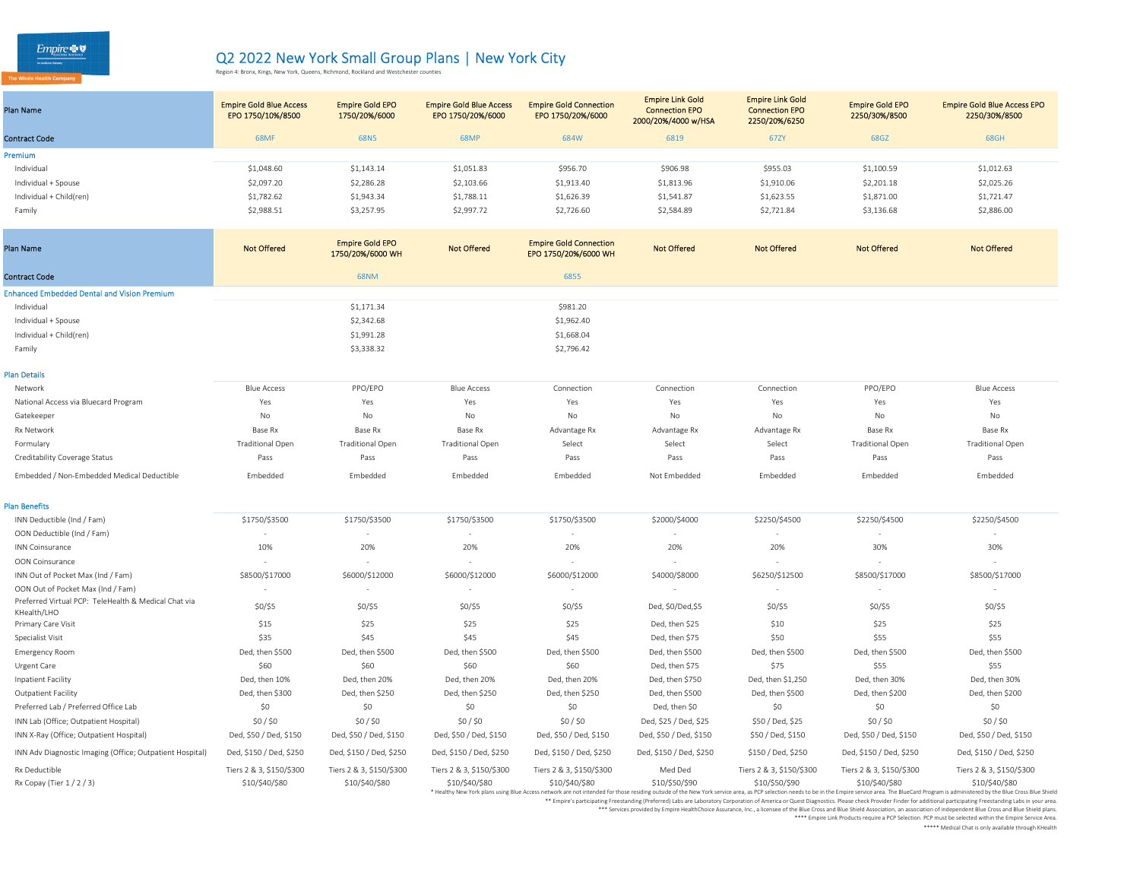| Plan Name               | <b>Empire Gold Blue Access</b><br>EPO 1750/10%/8500 | <b>Empire Gold EPO</b><br>1750/20%/6000 | <b>Empire Gold Blue Access</b><br>EPO 1750/20%/6000 | <b>Empire Gold Connection</b><br>EPO 1750/20%/6000 | <b>Empire Link Gold</b><br><b>Connection EPO</b><br>2000/20%/4000 w/HSA | <b>Empire Link Gold</b><br><b>Connection EPO</b><br>2250/20%/6250 | <b>Empire Gold EPO</b><br>2250/30%/8500 | <b>Empire Gold Blue Access EPO</b><br>2250/30%/8500 |
|-------------------------|-----------------------------------------------------|-----------------------------------------|-----------------------------------------------------|----------------------------------------------------|-------------------------------------------------------------------------|-------------------------------------------------------------------|-----------------------------------------|-----------------------------------------------------|
| <b>Contract Code</b>    | <b>68MF</b>                                         | 68N <sub>5</sub>                        | <b>68MP</b>                                         | 684W                                               | 6819                                                                    | 67ZY                                                              | 68GZ                                    | 68GH                                                |
| Premium                 |                                                     |                                         |                                                     |                                                    |                                                                         |                                                                   |                                         |                                                     |
| Individual              | \$1,048.60                                          | \$1,143.14                              | \$1,051.83                                          | \$956.70                                           | \$906.98                                                                | \$955.03                                                          | \$1,100.59                              | \$1,012.63                                          |
| Individual + Spouse     | \$2,097.20                                          | \$2,286.28                              | \$2,103.66                                          | \$1,913.40                                         | \$1,813.96                                                              | \$1,910.06                                                        | \$2,201.18                              | \$2,025.26                                          |
| Individual + Child(ren) | \$1,782.62                                          | \$1,943.34                              | \$1,788.11                                          | \$1,626.39                                         | \$1,541.87                                                              | \$1,623.55                                                        | \$1,871.00                              | \$1,721.47                                          |
| Family                  | \$2,988.51                                          | \$3,257.95                              | \$2,997.72                                          | \$2,726.60                                         | \$2,584.89                                                              | \$2,721.84                                                        | \$3,136.68                              | \$2,886.00                                          |
|                         |                                                     |                                         |                                                     |                                                    |                                                                         |                                                                   |                                         |                                                     |

| <b>Plan Name</b>                                   | <b>Not Offered</b> | <b>Empire Gold EPO</b><br>1750/20%/6000 WH | <b>Not Offered</b> | <b>Empire Gold Connection</b><br>EPO 1750/20%/6000 WH | <b>Not Offered</b> | <b>Not Offered</b> | <b>Not Offered</b> | <b>Not Offered</b> |
|----------------------------------------------------|--------------------|--------------------------------------------|--------------------|-------------------------------------------------------|--------------------|--------------------|--------------------|--------------------|
| <b>Contract Code</b>                               |                    | <b>68NM</b>                                |                    | 6855                                                  |                    |                    |                    |                    |
| <b>Enhanced Embedded Dental and Vision Premium</b> |                    |                                            |                    |                                                       |                    |                    |                    |                    |
| Individual                                         |                    | \$1,171.34                                 |                    | \$981.20                                              |                    |                    |                    |                    |
| Individual + Spouse                                |                    | \$2,342.68                                 |                    | \$1,962.40                                            |                    |                    |                    |                    |
| Individual + Child(ren)                            |                    | \$1,991.28                                 |                    | \$1,668.04                                            |                    |                    |                    |                    |
| Family                                             |                    | \$3,338.32                                 |                    | \$2,796.42                                            |                    |                    |                    |                    |
| <b>Plan Details</b>                                |                    |                                            |                    |                                                       |                    |                    |                    |                    |

| Network                                    | <b>Blue Access</b>      | PPO/EPO                 | <b>Blue Access</b>      | Connection   | Connection   | Connection   | PPO/EPO                 | <b>Blue Access</b>      |
|--------------------------------------------|-------------------------|-------------------------|-------------------------|--------------|--------------|--------------|-------------------------|-------------------------|
| National Access via Bluecard Program       | Yes                     | Yes                     | Yes                     | Yes          | Yes          | Yes          | Yes                     | Yes                     |
| Gatekeeper                                 | No                      | No                      | No                      | No           | No           | No           | No                      | No                      |
| Rx Network                                 | Base Rx                 | Base Rx                 | Base Rx                 | Advantage Rx | Advantage Rx | Advantage Rx | Base Rx                 | Base Rx                 |
| Formulary                                  | <b>Traditional Open</b> | <b>Traditional Open</b> | <b>Traditional Open</b> | Select       | Select       | Select       | <b>Traditional Open</b> | <b>Traditional Open</b> |
| Creditability Coverage Status              | Pass                    | Pass                    | Pass                    | Pass         | Pass         | Pass         | Pass                    | Pass                    |
| Embedded / Non-Embedded Medical Deductible | Embedded                | Embedded                | Embedded                | Embedded     | Not Embedded | Embedded     | Embedded                | Embedded                |

| <b>Plan Benefits</b>                                                |                          |                          |                          |                          |                         |                          |                          |                                                                                                                                                                                                                                                 |
|---------------------------------------------------------------------|--------------------------|--------------------------|--------------------------|--------------------------|-------------------------|--------------------------|--------------------------|-------------------------------------------------------------------------------------------------------------------------------------------------------------------------------------------------------------------------------------------------|
| INN Deductible (Ind / Fam)                                          | \$1750/\$3500            | \$1750/\$3500            | \$1750/\$3500            | \$1750/\$3500            | \$2000/\$4000           | \$2250/\$4500            | \$2250/\$4500            | \$2250/\$4500                                                                                                                                                                                                                                   |
| OON Deductible (Ind / Fam)                                          |                          |                          |                          |                          | $\sim$                  |                          | $\sim$                   |                                                                                                                                                                                                                                                 |
| <b>INN Coinsurance</b>                                              | 10%                      | 20%                      | 20%                      | 20%                      | 20%                     | 20%                      | 30%                      | 30%                                                                                                                                                                                                                                             |
| OON Coinsurance                                                     |                          |                          |                          |                          |                         |                          |                          |                                                                                                                                                                                                                                                 |
| INN Out of Pocket Max (Ind / Fam)                                   | \$8500/\$17000           | \$6000/\$12000           | \$6000/\$12000           | \$6000/\$12000           | \$4000/\$8000           | \$6250/\$12500           | \$8500/\$17000           | \$8500/\$17000                                                                                                                                                                                                                                  |
| OON Out of Pocket Max (Ind / Fam)                                   |                          |                          |                          |                          |                         |                          |                          |                                                                                                                                                                                                                                                 |
| Preferred Virtual PCP: TeleHealth & Medical Chat via<br>KHealth/LHO | $$0/$ \$5                | \$0/\$5                  | \$0/\$5                  | $$0/$ \$5                | Ded, \$0/Ded,\$5        | $$0/$ \$5                | \$0/\$5                  | $$0/$ \$5                                                                                                                                                                                                                                       |
| Primary Care Visit                                                  | \$15                     | \$25                     | \$25                     | \$25                     | Ded, then \$25          | \$10                     | \$25                     | \$25                                                                                                                                                                                                                                            |
| Specialist Visit                                                    | \$35                     | \$45                     | \$45                     | \$45                     | Ded, then \$75          | \$50                     | \$55                     | \$55                                                                                                                                                                                                                                            |
| <b>Emergency Room</b>                                               | Ded, then \$500          | Ded, then \$500          | Ded, then \$500          | Ded, then \$500          | Ded, then \$500         | Ded, then \$500          | Ded, then \$500          | Ded, then \$500                                                                                                                                                                                                                                 |
| Urgent Care                                                         | \$60                     | \$60                     | \$60                     | \$60                     | Ded, then \$75          | \$75                     | \$55                     | \$55                                                                                                                                                                                                                                            |
| Inpatient Facility                                                  | Ded, then 10%            | Ded, then 20%            | Ded, then 20%            | Ded. then 20%            | Ded, then \$750         | Ded, then \$1,250        | Ded, then 30%            | Ded, then 30%                                                                                                                                                                                                                                   |
| Outpatient Facility                                                 | Ded, then \$300          | Ded, then \$250          | Ded, then \$250          | Ded, then \$250          | Ded, then \$500         | Ded, then \$500          | Ded, then \$200          | Ded, then \$200                                                                                                                                                                                                                                 |
| Preferred Lab / Preferred Office Lab                                | \$0                      | \$0                      | \$0                      | \$0                      | Ded, then \$0           | \$0                      | \$0                      | \$0                                                                                                                                                                                                                                             |
| INN Lab (Office; Outpatient Hospital)                               | $$0/$ \$0                | \$0/\$0                  | \$0/\$0                  | $$0/$ \$0                | Ded, \$25 / Ded, \$25   | \$50 / Ded, \$25         | \$0/\$0                  | \$0/\$0                                                                                                                                                                                                                                         |
| INN X-Ray (Office; Outpatient Hospital)                             | Ded, \$50 / Ded, \$150   | Ded, \$50 / Ded, \$150   | Ded, \$50 / Ded, \$150   | Ded, \$50 / Ded, \$150   | Ded, \$50 / Ded, \$150  | \$50 / Ded, \$150        | Ded, \$50 / Ded, \$150   | Ded, \$50 / Ded, \$150                                                                                                                                                                                                                          |
| INN Adv Diagnostic Imaging (Office; Outpatient Hospital)            | Ded, \$150 / Ded, \$250  | Ded, \$150 / Ded, \$250  | Ded, \$150 / Ded, \$250  | Ded, \$150 / Ded, \$250  | Ded, \$150 / Ded, \$250 | \$150 / Ded, \$250       | Ded, \$150 / Ded, \$250  | Ded, \$150 / Ded, \$250                                                                                                                                                                                                                         |
| Rx Deductible                                                       | Tiers 2 & 3, \$150/\$300 | Tiers 2 & 3, \$150/\$300 | Tiers 2 & 3, \$150/\$300 | Tiers 2 & 3, \$150/\$300 | Med Ded                 | Tiers 2 & 3, \$150/\$300 | Tiers 2 & 3, \$150/\$300 | Tiers 2 & 3, \$150/\$300                                                                                                                                                                                                                        |
| Rx Copay (Tier $1/2/3$ )                                            | \$10/\$40/\$80           | \$10/\$40/\$80           | \$10/\$40/\$80           | \$10/\$40/\$80           | \$10/\$50/\$90          | \$10/\$50/\$90           | \$10/\$40/\$80           | \$10/\$40/\$80<br>* Healthy New York plans using Blue Access network are not intended for those residing outside of the New York service area, as PCP selection needs to be in the Empire service area. The BlueCard Program is administered by |

\*\* Empire's participating Freestanding (Preferred) Labs are Laboratory Corporation of America or Quest Diagnostics. Please check Provider Finder for additional participating Freestanding Labs in your area.

ervices provided by Empire HealthChoice Assurance, Inc., a license of the Blue Cross and Blue Shield Association, an association of independent Blue Cross and Blue Shield plans.<br>Empire Link Products require a PCP Selection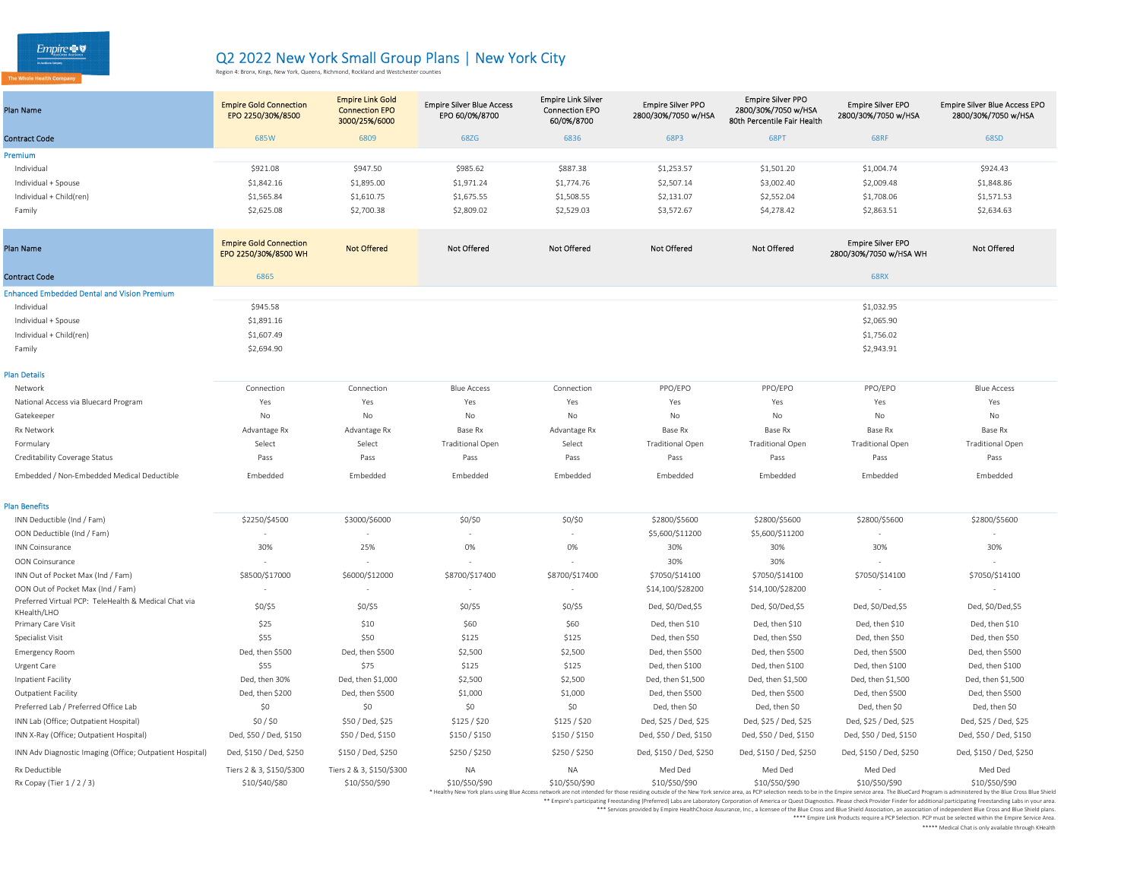| Plan Name               | <b>Empire Gold Connection</b><br>EPO 2250/30%/8500 | <b>Empire Link Gold</b><br><b>Connection EPO</b><br>3000/25%/6000 | <b>Empire Silver Blue Access</b><br>EPO 60/0%/8700 | <b>Empire Link Silver</b><br><b>Connection EPO</b><br>60/0%/8700 | <b>Empire Silver PPO</b><br>2800/30%/7050 w/HSA | <b>Empire Silver PPO</b><br>2800/30%/7050 w/HSA<br>80th Percentile Fair Health | <b>Empire Silver EPO</b><br>2800/30%/7050 w/HSA | <b>Empire Silver Blue Access EPO</b><br>2800/30%/7050 w/HSA |
|-------------------------|----------------------------------------------------|-------------------------------------------------------------------|----------------------------------------------------|------------------------------------------------------------------|-------------------------------------------------|--------------------------------------------------------------------------------|-------------------------------------------------|-------------------------------------------------------------|
| <b>Contract Code</b>    | 685W                                               | 6809                                                              | 68ZG                                               | 6836                                                             | 68P3                                            | 68PT                                                                           | <b>68RF</b>                                     | 68SD                                                        |
| Premium                 |                                                    |                                                                   |                                                    |                                                                  |                                                 |                                                                                |                                                 |                                                             |
| Individual              | \$921.08                                           | \$947.50                                                          | \$985.62                                           | \$887.38                                                         | \$1,253.57                                      | \$1,501.20                                                                     | \$1,004.74                                      | \$924.43                                                    |
| Individual + Spouse     | \$1,842.16                                         | \$1,895.00                                                        | \$1,971.24                                         | \$1,774.76                                                       | \$2,507.14                                      | \$3,002.40                                                                     | \$2,009.48                                      | \$1,848.86                                                  |
| Individual + Child(ren) | \$1,565.84                                         | \$1,610.75                                                        | \$1,675.55                                         | \$1,508.55                                                       | \$2,131.07                                      | \$2,552.04                                                                     | \$1,708.06                                      | \$1,571.53                                                  |
| Family                  | \$2,625.08                                         | \$2,700.38                                                        | \$2,809.02                                         | \$2,529.03                                                       | \$3,572.67                                      | \$4,278.42                                                                     | \$2,863.51                                      | \$2,634.63                                                  |
|                         |                                                    |                                                                   |                                                    |                                                                  |                                                 |                                                                                |                                                 |                                                             |

| Plan Name                                                           | <b>Empire Gold Connection</b><br>EPO 2250/30%/8500 WH | <b>Not Offered</b>       | <b>Not Offered</b>      | <b>Not Offered</b>       | <b>Not Offered</b>      | <b>Not Offered</b>      | <b>Empire Silver EPO</b><br>2800/30%/7050 w/HSA WH | <b>Not Offered</b>       |
|---------------------------------------------------------------------|-------------------------------------------------------|--------------------------|-------------------------|--------------------------|-------------------------|-------------------------|----------------------------------------------------|--------------------------|
| <b>Contract Code</b>                                                | 6865                                                  |                          |                         |                          |                         |                         | <b>68RX</b>                                        |                          |
| <b>Enhanced Embedded Dental and Vision Premium</b>                  |                                                       |                          |                         |                          |                         |                         |                                                    |                          |
| Individual                                                          | \$945.58                                              |                          |                         |                          |                         |                         | \$1,032.95                                         |                          |
| Individual + Spouse                                                 | \$1,891.16                                            |                          |                         |                          |                         |                         | \$2,065.90                                         |                          |
| Individual + Child(ren)                                             | \$1,607.49                                            |                          |                         |                          |                         |                         | \$1,756.02                                         |                          |
| Family                                                              | \$2,694.90                                            |                          |                         |                          |                         |                         | \$2,943.91                                         |                          |
| <b>Plan Details</b>                                                 |                                                       |                          |                         |                          |                         |                         |                                                    |                          |
| Network                                                             | Connection                                            | Connection               | <b>Blue Access</b>      | Connection               | PPO/EPO                 | PPO/EPO                 | PPO/EPO                                            | <b>Blue Access</b>       |
| National Access via Bluecard Program                                | Yes                                                   | Yes                      | Yes                     | Yes                      | Yes                     | Yes                     | Yes                                                | Yes                      |
| Gatekeeper                                                          | No                                                    | No                       | No                      | No                       | No                      | No                      | No                                                 | No                       |
| <b>Rx Network</b>                                                   | Advantage Rx                                          | Advantage Rx             | Base Rx                 | Advantage Rx             | Base Rx                 | Base Rx                 | Base Rx                                            | Base Rx                  |
| Formulary                                                           | Select                                                | Select                   | <b>Traditional Open</b> | Select                   | <b>Traditional Open</b> | <b>Traditional Open</b> | <b>Traditional Open</b>                            | <b>Traditional Open</b>  |
| Creditability Coverage Status                                       | Pass                                                  | Pass                     | Pass                    | Pass                     | Pass                    | Pass                    | Pass                                               | Pass                     |
| Embedded / Non-Embedded Medical Deductible                          | Embedded                                              | Embedded                 | Embedded                | Embedded                 | Embedded                | Embedded                | Embedded                                           | Embedded                 |
| <b>Plan Benefits</b>                                                |                                                       |                          |                         |                          |                         |                         |                                                    |                          |
| INN Deductible (Ind / Fam)                                          | \$2250/\$4500                                         | \$3000/\$6000            | \$0/\$0                 | \$0/\$0                  | \$2800/\$5600           | \$2800/\$5600           | \$2800/\$5600                                      | \$2800/\$5600            |
| OON Deductible (Ind / Fam)                                          |                                                       |                          | ٠                       | $\overline{\phantom{a}}$ | \$5,600/\$11200         | \$5,600/\$11200         |                                                    |                          |
| <b>INN Coinsurance</b>                                              | 30%                                                   | 25%                      | 0%                      | 0%                       | 30%                     | 30%                     | 30%                                                | 30%                      |
| OON Coinsurance                                                     |                                                       |                          |                         |                          | 30%                     | 30%                     |                                                    |                          |
| INN Out of Pocket Max (Ind / Fam)                                   | \$8500/\$17000                                        | \$6000/\$12000           | \$8700/\$17400          | \$8700/\$17400           | \$7050/\$14100          | \$7050/\$14100          | \$7050/\$14100                                     | \$7050/\$14100           |
| OON Out of Pocket Max (Ind / Fam)                                   | $\overline{\phantom{a}}$                              |                          | $\sim$                  | $\sim$                   | \$14,100/\$28200        | \$14,100/\$28200        |                                                    | $\overline{\phantom{a}}$ |
| Preferred Virtual PCP: TeleHealth & Medical Chat via<br>KHealth/LHO | $$0/$ \$5                                             | \$0/\$5                  | $$0/$ \$5               | $$0/$ \$5                | Ded, \$0/Ded, \$5       | Ded, \$0/Ded,\$5        | Ded, \$0/Ded,\$5                                   | Ded, \$0/Ded, \$5        |
| Primary Care Visit                                                  | \$25                                                  | \$10                     | \$60                    | \$60                     | Ded, then \$10          | Ded, then \$10          | Ded, then \$10                                     | Ded, then \$10           |
| Specialist Visit                                                    | \$55                                                  | \$50                     | \$125                   | \$125                    | Ded, then \$50          | Ded, then \$50          | Ded, then \$50                                     | Ded, then \$50           |
| <b>Emergency Room</b>                                               | Ded, then \$500                                       | Ded, then \$500          | \$2,500                 | \$2,500                  | Ded, then \$500         | Ded, then \$500         | Ded, then \$500                                    | Ded, then \$500          |
| Urgent Care                                                         | \$55                                                  | \$75                     | \$125                   | \$125                    | Ded, then \$100         | Ded, then \$100         | Ded, then \$100                                    | Ded, then \$100          |
| Inpatient Facility                                                  | Ded, then 30%                                         | Ded, then \$1,000        | \$2,500                 | \$2,500                  | Ded, then \$1,500       | Ded, then \$1,500       | Ded, then \$1,500                                  | Ded, then \$1,500        |
| <b>Outpatient Facility</b>                                          | Ded, then \$200                                       | Ded, then \$500          | \$1,000                 | \$1,000                  | Ded, then \$500         | Ded, then \$500         | Ded, then \$500                                    | Ded, then \$500          |
| Preferred Lab / Preferred Office Lab                                | \$0                                                   | \$0                      | \$0                     | \$0                      | Ded, then \$0           | Ded, then \$0           | Ded, then \$0                                      | Ded, then \$0            |
| INN Lab (Office; Outpatient Hospital)                               | $$0/$ \$0                                             | \$50 / Ded, \$25         | \$125 / \$20            | \$125/\$20               | Ded, \$25 / Ded, \$25   | Ded, \$25 / Ded, \$25   | Ded, \$25 / Ded, \$25                              | Ded, \$25 / Ded, \$25    |
| INN X-Ray (Office; Outpatient Hospital)                             | Ded, \$50 / Ded, \$150                                | \$50 / Ded, \$150        | \$150/\$150             | \$150 / \$150            | Ded, \$50 / Ded, \$150  | Ded, \$50 / Ded, \$150  | Ded, \$50 / Ded, \$150                             | Ded, \$50 / Ded, \$150   |
| INN Adv Diagnostic Imaging (Office; Outpatient Hospital)            | Ded, \$150 / Ded, \$250                               | \$150 / Ded, \$250       | \$250 / \$250           | \$250/\$250              | Ded, \$150 / Ded, \$250 | Ded, \$150 / Ded, \$250 | Ded, \$150 / Ded, \$250                            | Ded, \$150 / Ded, \$250  |
| Rx Deductible                                                       | Tiers 2 & 3, \$150/\$300                              | Tiers 2 & 3, \$150/\$300 | <b>NA</b>               | <b>NA</b>                | Med Ded                 | Med Ded                 | Med Ded                                            | Med Ded                  |
| Rx Copay (Tier 1/2/3)                                               | \$10/\$40/\$80                                        | \$10/\$50/\$90           | \$10/\$50/\$90          | \$10/\$50/\$90           | \$10/\$50/\$90          | \$10/\$50/\$90          | \$10/\$50/\$90                                     | \$10/\$50/\$90           |

lealthy New York plans using Blue Access network are not intended for those residing outside of the New York service area, as PCP selection needs to be in the Empire service area. The Blue Cross his administered by the Blu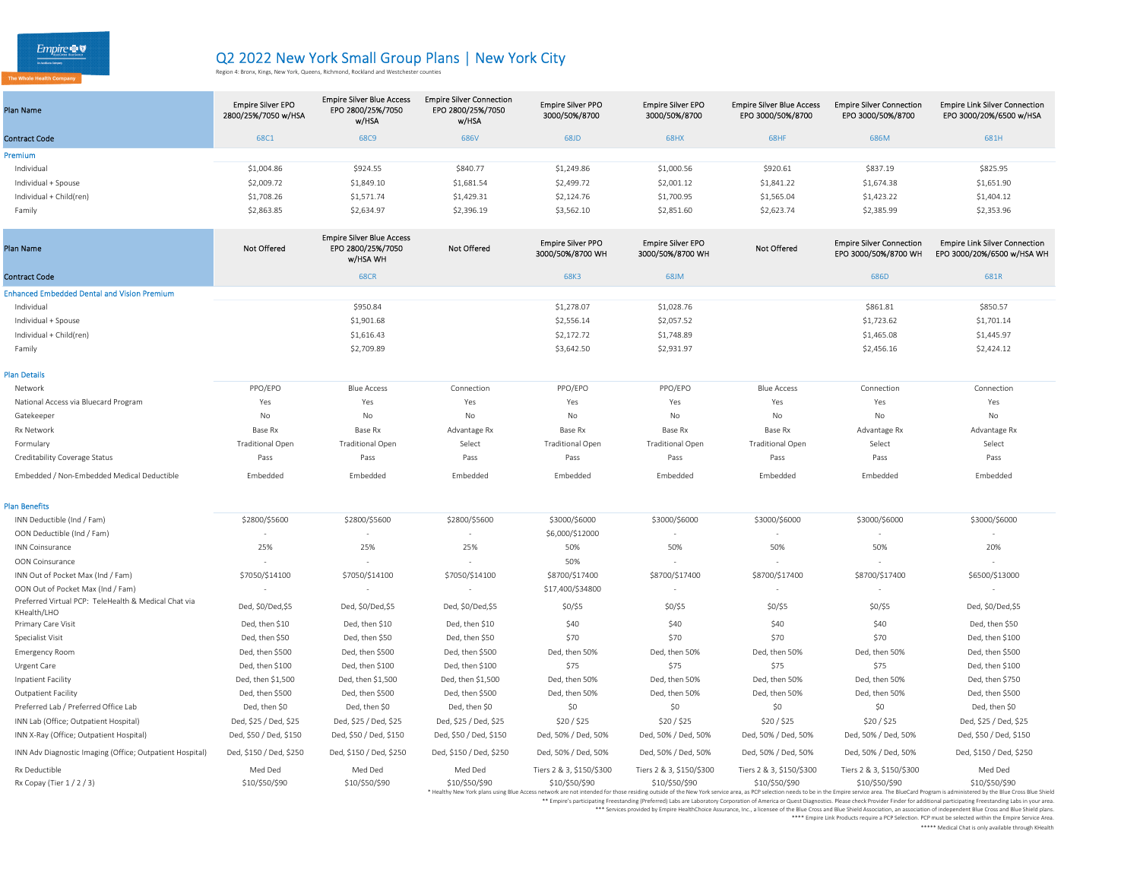The Whole Health Company

# Q2 2022 New York Small Group Plans | New York City<br>Region 4: Bronx, Kings, New York, Queens, Richmond, Rockland and Westchester counties

| <b>Plan Name</b>        | <b>Empire Silver EPO</b><br>2800/25%/7050 w/HSA | <b>Empire Silver Blue Access</b><br>EPO 2800/25%/7050<br>w/HSA | <b>Empire Silver Connection</b><br>EPO 2800/25%/7050<br>w/HSA | <b>Empire Silver PPO</b><br>3000/50%/8700 | <b>Empire Silver EPO</b><br>3000/50%/8700 | <b>Empire Silver Blue Access</b><br>EPO 3000/50%/8700 | <b>Empire Silver Connection</b><br>EPO 3000/50%/8700 | <b>Empire Link Silver Connection</b><br>EPO 3000/20%/6500 w/HSA |
|-------------------------|-------------------------------------------------|----------------------------------------------------------------|---------------------------------------------------------------|-------------------------------------------|-------------------------------------------|-------------------------------------------------------|------------------------------------------------------|-----------------------------------------------------------------|
| <b>Contract Code</b>    | 68C1                                            | 68C9                                                           | 686V                                                          | 68JD                                      | <b>68HX</b>                               | 68HF                                                  | 686M                                                 | 681H                                                            |
| <b>Premium</b>          |                                                 |                                                                |                                                               |                                           |                                           |                                                       |                                                      |                                                                 |
| Individual              | \$1,004.86                                      | \$924.55                                                       | \$840.77                                                      | \$1,249.86                                | \$1,000.56                                | \$920.61                                              | \$837.19                                             | \$825.95                                                        |
| Individual + Spouse     | \$2,009.72                                      | \$1,849.10                                                     | \$1,681.54                                                    | \$2,499.72                                | \$2,001.12                                | \$1,841.22                                            | \$1,674.38                                           | \$1,651.90                                                      |
| Individual + Child(ren) | \$1,708.26                                      | \$1,571.74                                                     | \$1,429.31                                                    | \$2,124.76                                | \$1,700.95                                | \$1,565.04                                            | \$1,423.22                                           | \$1,404.12                                                      |
| Family                  | \$2,863.85                                      | \$2,634.97                                                     | \$2,396.19                                                    | \$3,562.10                                | \$2,851.60                                | \$2,623.74                                            | \$2,385.99                                           | \$2,353.96                                                      |

| Plan Name                                                           | <b>Not Offered</b>       | <b>Empire Silver Blue Access</b><br>EPO 2800/25%/7050<br><b>w/HSA WH</b> | Not Offered           | <b>Empire Silver PPO</b><br>3000/50%/8700 WH | <b>Empire Silver EPO</b><br>3000/50%/8700 WH | Not Offered              | <b>Empire Silver Connection</b><br>EPO 3000/50%/8700 WH | <b>Empire Link Silver Connection</b><br>EPO 3000/20%/6500 w/HSA WH |
|---------------------------------------------------------------------|--------------------------|--------------------------------------------------------------------------|-----------------------|----------------------------------------------|----------------------------------------------|--------------------------|---------------------------------------------------------|--------------------------------------------------------------------|
| <b>Contract Code</b>                                                |                          | <b>68CR</b>                                                              |                       | 68K3                                         | 68JM                                         |                          | 686D                                                    | 681R                                                               |
| <b>Enhanced Embedded Dental and Vision Premium</b>                  |                          |                                                                          |                       |                                              |                                              |                          |                                                         |                                                                    |
| Individual                                                          |                          | \$950.84                                                                 |                       | \$1,278.07                                   | \$1,028.76                                   |                          | \$861.81                                                | \$850.57                                                           |
| Individual + Spouse                                                 |                          | \$1,901.68                                                               |                       | \$2,556.14                                   | \$2,057.52                                   |                          | \$1,723.62                                              | \$1,701.14                                                         |
| Individual + Child(ren)                                             |                          | \$1,616.43                                                               |                       | \$2,172.72                                   | \$1,748.89                                   |                          | \$1,465.08                                              | \$1,445.97                                                         |
| Family                                                              |                          | \$2,709.89                                                               |                       | \$3,642.50                                   | \$2,931.97                                   |                          | \$2,456.16                                              | \$2,424.12                                                         |
| <b>Plan Details</b>                                                 |                          |                                                                          |                       |                                              |                                              |                          |                                                         |                                                                    |
| Network                                                             | PPO/EPO                  | <b>Blue Access</b>                                                       | Connection            | PPO/EPO                                      | PPO/EPO                                      | <b>Blue Access</b>       | Connection                                              | Connection                                                         |
| National Access via Bluecard Program                                | Yes                      | Yes                                                                      | Yes                   | Yes                                          | Yes                                          | Yes                      | Yes                                                     | Yes                                                                |
| Gatekeeper                                                          | No                       | No                                                                       | No                    | No                                           | No                                           | No                       | No                                                      | No                                                                 |
| Rx Network                                                          | Base Rx                  | Base Rx                                                                  | Advantage Rx          | Base Rx                                      | Base Rx                                      | Base Rx                  | Advantage Rx                                            | Advantage Rx                                                       |
| Formulary                                                           | <b>Traditional Open</b>  | <b>Traditional Open</b>                                                  | Select                | <b>Traditional Open</b>                      | <b>Traditional Open</b>                      | <b>Traditional Open</b>  | Select                                                  | Select                                                             |
| Creditability Coverage Status                                       | Pass                     | Pass                                                                     | Pass                  | Pass                                         | Pass                                         | Pass                     | Pass                                                    | Pass                                                               |
| Embedded / Non-Embedded Medical Deductible                          | Embedded                 | Embedded                                                                 | Embedded              | Embedded                                     | Embedded                                     | Embedded                 | Embedded                                                | Embedded                                                           |
| <b>Plan Benefits</b>                                                |                          |                                                                          |                       |                                              |                                              |                          |                                                         |                                                                    |
| INN Deductible (Ind / Fam)                                          | \$2800/\$5600            | \$2800/\$5600                                                            | \$2800/\$5600         | \$3000/\$6000                                | \$3000/\$6000                                | \$3000/\$6000            | \$3000/\$6000                                           | \$3000/\$6000                                                      |
| OON Deductible (Ind / Fam)                                          | ٠                        |                                                                          | $\sim$                | \$6,000/\$12000                              |                                              | ٠                        |                                                         |                                                                    |
| <b>INN Coinsurance</b>                                              | 25%                      | 25%                                                                      | 25%                   | 50%                                          | 50%                                          | 50%                      | 50%                                                     | 20%                                                                |
| OON Coinsurance                                                     | $\overline{\phantom{a}}$ |                                                                          |                       | 50%                                          |                                              | $\overline{\phantom{a}}$ |                                                         | $\sim$                                                             |
| INN Out of Pocket Max (Ind / Fam)                                   | \$7050/\$14100           | \$7050/\$14100                                                           | \$7050/\$14100        | \$8700/\$17400                               | \$8700/\$17400                               | \$8700/\$17400           | \$8700/\$17400                                          | \$6500/\$13000                                                     |
| OON Out of Pocket Max (Ind / Fam)                                   | $\overline{\phantom{a}}$ |                                                                          | $\sim$                | \$17,400/\$34800                             | $\sim$                                       | $\sim$                   | $\sim$                                                  | $\sim$                                                             |
| Preferred Virtual PCP: TeleHealth & Medical Chat via<br>KHealth/LHO | Ded, \$0/Ded,\$5         | Ded, \$0/Ded,\$5                                                         | Ded, \$0/Ded,\$5      | $$0/$ \$5                                    | \$0/\$5                                      | $$0/$ \$5                | \$0/\$5                                                 | Ded, \$0/Ded,\$5                                                   |
| Primary Care Visit                                                  | Ded, then \$10           | Ded, then \$10                                                           | Ded, then \$10        | \$40                                         | \$40                                         | \$40                     | \$40                                                    | Ded, then \$50                                                     |
| Specialist Visit                                                    | Ded, then \$50           | Ded, then \$50                                                           | Ded, then \$50        | \$70                                         | \$70                                         | \$70                     | \$70                                                    | Ded, then \$100                                                    |
| <b>Emergency Room</b>                                               | Ded, then \$500          | Ded, then \$500                                                          | Ded, then \$500       | Ded, then 50%                                | Ded, then 50%                                | Ded, then 50%            | Ded, then 50%                                           | Ded, then \$500                                                    |
| Urgent Care                                                         | Ded, then \$100          | Ded, then \$100                                                          | Ded, then \$100       | \$75                                         | \$75                                         | \$75                     | \$75                                                    | Ded, then \$100                                                    |
| Inpatient Facility                                                  | Ded, then \$1,500        | Ded, then \$1,500                                                        | Ded, then \$1,500     | Ded, then 50%                                | Ded, then 50%                                | Ded, then 50%            | Ded, then 50%                                           | Ded, then \$750                                                    |
| <b>Outpatient Facility</b>                                          | Ded, then \$500          | Ded, then \$500                                                          | Ded, then \$500       | Ded, then 50%                                | Ded, then 50%                                | Ded, then 50%            | Ded, then 50%                                           | Ded, then \$500                                                    |
| Preferred Lab / Preferred Office Lab                                | Ded, then \$0            | Ded, then \$0                                                            | Ded, then \$0         | \$0                                          | \$0                                          | \$0                      | \$0                                                     | Ded, then \$0                                                      |
| INN Lab (Office; Outpatient Hospital)                               | Ded, \$25 / Ded, \$25    | Ded, \$25 / Ded, \$25                                                    | Ded, \$25 / Ded, \$25 | \$20/\$25                                    | \$20/\$25                                    | \$20/\$25                | \$20/\$25                                               | Ded, \$25 / Ded, \$25                                              |

| INN Lab (Office; Outpatient Hospital)                    | Ded, \$25 / Ded, \$25   | Ded, \$25 / Ded, \$25   | Ded, \$25 / Ded, \$25   | \$20/\$25                | \$20/ \$25               | \$20/\$25                | \$20/ \$25               | Ded, \$25 / Ded, \$25                                                                                                                                                                                                         |
|----------------------------------------------------------|-------------------------|-------------------------|-------------------------|--------------------------|--------------------------|--------------------------|--------------------------|-------------------------------------------------------------------------------------------------------------------------------------------------------------------------------------------------------------------------------|
| INN X-Ray (Office; Outpatient Hospital)                  | Ded, \$50 / Ded, \$150  | Ded. \$50 / Ded. \$150  | Ded, \$50 / Ded, \$150  | Ded, 50% / Ded, 50%      | Ded. 50% / Ded. 50%      | Ded. 50% / Ded. 50%      | Ded, 50% / Ded, 50%      | Ded, \$50 / Ded, \$150                                                                                                                                                                                                        |
| INN Adv Diagnostic Imaging (Office; Outpatient Hospital) | Ded, \$150 / Ded, \$250 | Ded, \$150 / Ded, \$250 | Ded, \$150 / Ded, \$250 | Ded, 50% / Ded, 50%      | Ded. 50% / Ded. 50%      | Ded, 50% / Ded, 50%      | Ded, 50% / Ded, 50%      | Ded, \$150 / Ded, \$250                                                                                                                                                                                                       |
| Rx Deductible                                            | Med Ded                 | Med Ded                 | Med Ded                 | Tiers 2 & 3, \$150/\$300 | Tiers 2 & 3, \$150/\$300 | Tiers 2 & 3, \$150/\$300 | Tiers 2 & 3, \$150/\$300 | Med Ded                                                                                                                                                                                                                       |
| Rx Copay (Tier 1 / 2 / 3)                                | \$10/\$50/\$90          | \$10/\$50/\$90          | \$10/\$50/\$90          | \$10/\$50/\$90           | \$10/\$50/\$90           | \$10/\$50/\$90           | \$10/\$50/\$90           | \$10/\$50/\$90                                                                                                                                                                                                                |
|                                                          |                         |                         |                         |                          |                          |                          |                          | * Healthy New York plans using Blue Access network are not intended for those residing outside of the New York service area, as PCP selection needs to be in the Empire service area. The BlueCard Program is administered by |

\*\* Empire's participating Freestanding (Preferred) Labs are Laboratory Corporation of America or Quest Diagnostics. Please check Provider Finder for additional participating Freestanding Labs in your area.

ervices provided by Empire HealthChoice Assurance, Inc., a licensee of the Blue Cross and Blue Shield Association, an association of independent Blue Cross and Blue Shield plans.<br>Empire Link Products require a PCP Selectio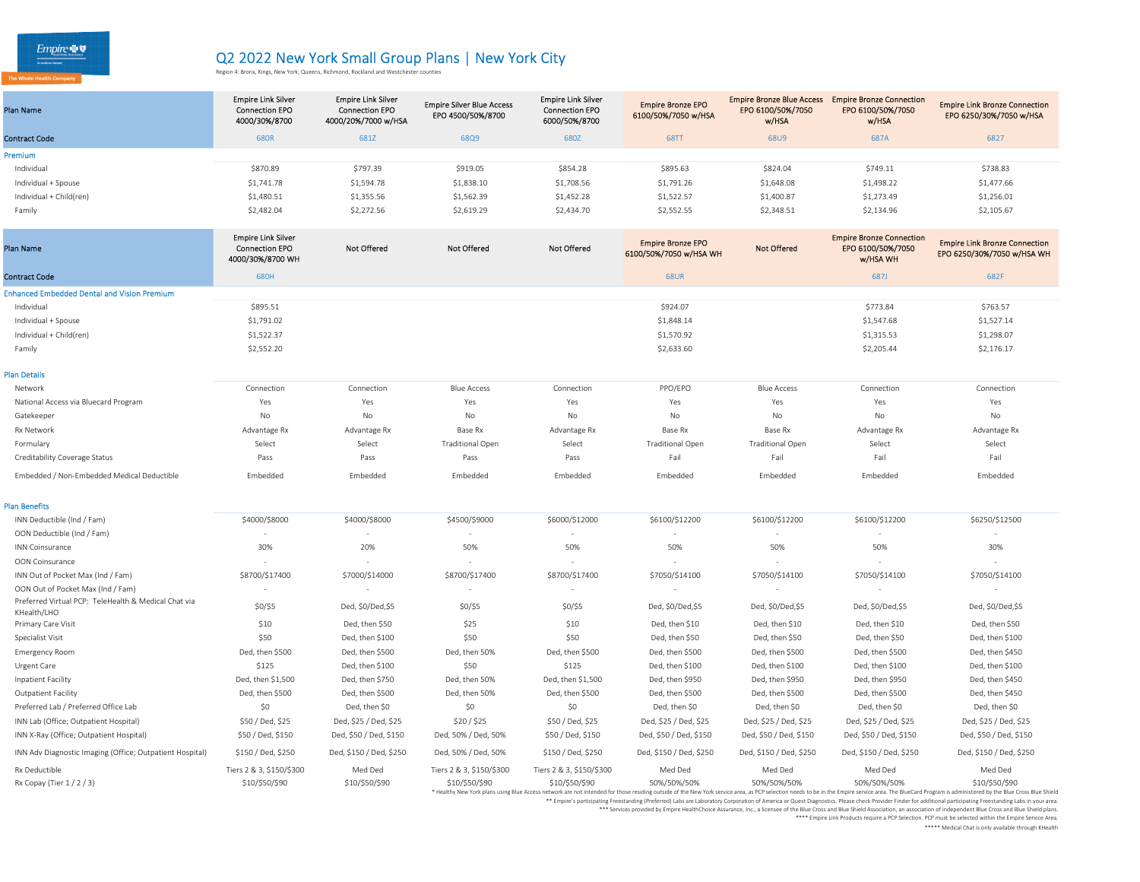he Whole Health Company

# Q2 2022 New York Small Group Plans | New York City<br>Region 4: Bronx, Kings, New York, Queens, Richmond, Rockland and Westchester counties

| Plan Name               | <b>Empire Link Silver</b><br><b>Connection EPO</b><br>4000/30%/8700 | <b>Empire Link Silver</b><br><b>Connection EPO</b><br>4000/20%/7000 w/HSA | <b>Empire Silver Blue Access</b><br>EPO 4500/50%/8700 | <b>Empire Link Silver</b><br><b>Connection EPO</b><br>6000/50%/8700 | <b>Empire Bronze EPO</b><br>6100/50%/7050 w/HSA | <b>Empire Bronze Blue Access</b><br>EPO 6100/50%/7050<br>w/HSA | <b>Empire Bronze Connection</b><br>EPO 6100/50%/7050<br>w/HSA | <b>Empire Link Bronze Connection</b><br>EPO 6250/30%/7050 w/HSA |
|-------------------------|---------------------------------------------------------------------|---------------------------------------------------------------------------|-------------------------------------------------------|---------------------------------------------------------------------|-------------------------------------------------|----------------------------------------------------------------|---------------------------------------------------------------|-----------------------------------------------------------------|
| <b>Contract Code</b>    | 680R                                                                | 681Z                                                                      | 68Q9                                                  | 680Z                                                                | <b>68TT</b>                                     | 68U9                                                           | 687A                                                          | 6827                                                            |
| Premium                 |                                                                     |                                                                           |                                                       |                                                                     |                                                 |                                                                |                                                               |                                                                 |
| Individual              | \$870.89                                                            | \$797.39                                                                  | \$919.05                                              | \$854.28                                                            | \$895.63                                        | \$824.04                                                       | \$749.11                                                      | \$738.83                                                        |
| Individual + Spouse     | \$1,741.78                                                          | \$1,594.78                                                                | \$1,838.10                                            | \$1,708.56                                                          | \$1,791.26                                      | \$1,648.08                                                     | \$1,498.22                                                    | \$1,477.66                                                      |
| Individual + Child(ren) | \$1,480.51                                                          | \$1,355.56                                                                | \$1,562.39                                            | \$1,452.28                                                          | \$1,522.57                                      | \$1,400.87                                                     | \$1,273.49                                                    | \$1,256.01                                                      |
| Family                  | \$2,482.04                                                          | \$2,272.56                                                                | \$2,619.29                                            | \$2,434.70                                                          | \$2,552.55                                      | \$2,348.51                                                     | \$2,134.96                                                    | \$2,105.67                                                      |

| <b>Plan Name</b>                                                    | <b>Empire Link Silver</b><br><b>Connection EPO</b><br>4000/30%/8700 WH | Not Offered             | <b>Not Offered</b>       | <b>Not Offered</b>       | <b>Empire Bronze EPO</b><br>6100/50%/7050 w/HSA WH | <b>Not Offered</b>      | <b>Empire Bronze Connection</b><br>EPO 6100/50%/7050<br>w/HSA WH | <b>Empire Link Bronze Connection</b><br>EPO 6250/30%/7050 w/HSA WH                                                                                                                                                                              |
|---------------------------------------------------------------------|------------------------------------------------------------------------|-------------------------|--------------------------|--------------------------|----------------------------------------------------|-------------------------|------------------------------------------------------------------|-------------------------------------------------------------------------------------------------------------------------------------------------------------------------------------------------------------------------------------------------|
| <b>Contract Code</b>                                                | 680H                                                                   |                         |                          |                          | <b>68UR</b>                                        |                         | 687J                                                             | 682F                                                                                                                                                                                                                                            |
| <b>Enhanced Embedded Dental and Vision Premium</b>                  |                                                                        |                         |                          |                          |                                                    |                         |                                                                  |                                                                                                                                                                                                                                                 |
| Individual                                                          | \$895.51                                                               |                         |                          |                          | \$924.07                                           |                         | \$773.84                                                         | \$763.57                                                                                                                                                                                                                                        |
| Individual + Spouse                                                 | \$1,791.02                                                             |                         |                          |                          | \$1,848.14                                         |                         | \$1,547.68                                                       | \$1,527.14                                                                                                                                                                                                                                      |
| Individual + Child(ren)                                             | \$1,522.37                                                             |                         |                          |                          | \$1,570.92                                         |                         | \$1,315.53                                                       | \$1,298.07                                                                                                                                                                                                                                      |
| Family                                                              | \$2,552.20                                                             |                         |                          |                          | \$2,633.60                                         |                         | \$2,205.44                                                       | \$2,176.17                                                                                                                                                                                                                                      |
| <b>Plan Details</b>                                                 |                                                                        |                         |                          |                          |                                                    |                         |                                                                  |                                                                                                                                                                                                                                                 |
| Network                                                             | Connection                                                             | Connection              | <b>Blue Access</b>       | Connection               | PPO/EPO                                            | <b>Blue Access</b>      | Connection                                                       | Connection                                                                                                                                                                                                                                      |
| National Access via Bluecard Program                                | Yes                                                                    | Yes                     | Yes                      | Yes                      | Yes                                                | Yes                     | Yes                                                              | Yes                                                                                                                                                                                                                                             |
| Gatekeeper                                                          | No                                                                     | No                      | No                       | No                       | <b>No</b>                                          | No                      | No                                                               | No                                                                                                                                                                                                                                              |
| Rx Network                                                          | Advantage Rx                                                           | Advantage Rx            | Base Rx                  | Advantage Rx             | Base Rx                                            | Base Rx                 | Advantage Rx                                                     | Advantage Rx                                                                                                                                                                                                                                    |
| Formulary                                                           | Select                                                                 | Select                  | <b>Traditional Open</b>  | Select                   | <b>Traditional Open</b>                            | <b>Traditional Open</b> | Select                                                           | Select                                                                                                                                                                                                                                          |
| Creditability Coverage Status                                       | Pass                                                                   | Pass                    | Pass                     | Pass                     | Fail                                               | Fail                    | Fail                                                             | Fail                                                                                                                                                                                                                                            |
| Embedded / Non-Embedded Medical Deductible                          | Embedded                                                               | Embedded                | Embedded                 | Embedded                 | Embedded                                           | Embedded                | Embedded                                                         | Embedded                                                                                                                                                                                                                                        |
| <b>Plan Benefits</b>                                                |                                                                        |                         |                          |                          |                                                    |                         |                                                                  |                                                                                                                                                                                                                                                 |
| INN Deductible (Ind / Fam)                                          | \$4000/\$8000                                                          | \$4000/\$8000           | \$4500/\$9000            | \$6000/\$12000           | \$6100/\$12200                                     | \$6100/\$12200          | \$6100/\$12200                                                   | \$6250/\$12500                                                                                                                                                                                                                                  |
| OON Deductible (Ind / Fam)                                          |                                                                        |                         |                          |                          |                                                    |                         |                                                                  |                                                                                                                                                                                                                                                 |
| INN Coinsurance                                                     | 30%                                                                    | 20%                     | 50%                      | 50%                      | 50%                                                | 50%                     | 50%                                                              | 30%                                                                                                                                                                                                                                             |
| OON Coinsurance                                                     |                                                                        |                         |                          |                          |                                                    |                         |                                                                  |                                                                                                                                                                                                                                                 |
| INN Out of Pocket Max (Ind / Fam)                                   | \$8700/\$17400                                                         | \$7000/\$14000          | \$8700/\$17400           | \$8700/\$17400           | \$7050/\$14100                                     | \$7050/\$14100          | \$7050/\$14100                                                   | \$7050/\$14100                                                                                                                                                                                                                                  |
| OON Out of Pocket Max (Ind / Fam)                                   | $\overline{\phantom{a}}$                                               |                         | $\sim$                   |                          |                                                    |                         |                                                                  |                                                                                                                                                                                                                                                 |
| Preferred Virtual PCP: TeleHealth & Medical Chat via<br>KHealth/LHO | \$0/\$5                                                                | Ded, \$0/Ded,\$5        | $$0/$ \$5                | $$0/$ \$5                | Ded, \$0/Ded,\$5                                   | Ded, \$0/Ded,\$5        | Ded, \$0/Ded,\$5                                                 | Ded, \$0/Ded, \$5                                                                                                                                                                                                                               |
| Primary Care Visit                                                  | \$10                                                                   | Ded, then \$50          | \$25                     | \$10                     | Ded, then \$10                                     | Ded, then \$10          | Ded, then \$10                                                   | Ded, then \$50                                                                                                                                                                                                                                  |
| Specialist Visit                                                    | \$50                                                                   | Ded, then \$100         | \$50                     | \$50                     | Ded, then \$50                                     | Ded, then \$50          | Ded, then \$50                                                   | Ded, then \$100                                                                                                                                                                                                                                 |
| <b>Emergency Room</b>                                               | Ded, then \$500                                                        | Ded, then \$500         | Ded, then 50%            | Ded, then \$500          | Ded, then \$500                                    | Ded, then \$500         | Ded, then \$500                                                  | Ded, then \$450                                                                                                                                                                                                                                 |
| Urgent Care                                                         | \$125                                                                  | Ded, then \$100         | \$50                     | \$125                    | Ded, then \$100                                    | Ded, then \$100         | Ded, then \$100                                                  | Ded, then \$100                                                                                                                                                                                                                                 |
| Inpatient Facility                                                  | Ded, then \$1,500                                                      | Ded, then \$750         | Ded, then 50%            | Ded, then \$1,500        | Ded, then \$950                                    | Ded, then \$950         | Ded, then \$950                                                  | Ded, then \$450                                                                                                                                                                                                                                 |
| <b>Outpatient Facility</b>                                          | Ded, then \$500                                                        | Ded, then \$500         | Ded, then 50%            | Ded, then \$500          | Ded, then \$500                                    | Ded, then \$500         | Ded, then \$500                                                  | Ded, then \$450                                                                                                                                                                                                                                 |
| Preferred Lab / Preferred Office Lab                                | \$0                                                                    | Ded, then \$0           | \$0                      | \$0                      | Ded, then \$0                                      | Ded, then \$0           | Ded, then \$0                                                    | Ded, then \$0                                                                                                                                                                                                                                   |
| INN Lab (Office; Outpatient Hospital)                               | \$50 / Ded, \$25                                                       | Ded, \$25 / Ded, \$25   | \$20/ \$25               | \$50 / Ded, \$25         | Ded, \$25 / Ded, \$25                              | Ded, \$25 / Ded, \$25   | Ded, \$25 / Ded, \$25                                            | Ded, \$25 / Ded, \$25                                                                                                                                                                                                                           |
| INN X-Ray (Office; Outpatient Hospital)                             | \$50 / Ded, \$150                                                      | Ded, \$50 / Ded, \$150  | Ded, 50% / Ded, 50%      | \$50 / Ded, \$150        | Ded, \$50 / Ded, \$150                             | Ded, \$50 / Ded, \$150  | Ded, \$50 / Ded, \$150                                           | Ded, \$50 / Ded, \$150                                                                                                                                                                                                                          |
| INN Adv Diagnostic Imaging (Office; Outpatient Hospital)            | \$150 / Ded, \$250                                                     | Ded, \$150 / Ded, \$250 | Ded, 50% / Ded, 50%      | \$150 / Ded, \$250       | Ded, \$150 / Ded, \$250                            | Ded, \$150 / Ded, \$250 | Ded, \$150 / Ded, \$250                                          | Ded, \$150 / Ded, \$250                                                                                                                                                                                                                         |
| Rx Deductible                                                       | Tiers 2 & 3, \$150/\$300                                               | Med Ded                 | Tiers 2 & 3, \$150/\$300 | Tiers 2 & 3, \$150/\$300 | Med Ded                                            | Med Ded                 | Med Ded                                                          | Med Ded                                                                                                                                                                                                                                         |
| Rx Copay (Tier 1/2/3)                                               | \$10/\$50/\$90                                                         | \$10/\$50/\$90          | \$10/\$50/\$90           | \$10/\$50/\$90           | 50%/50%/50%                                        | 50%/50%/50%             | 50%/50%/50%                                                      | \$10/\$50/\$90<br>* Healthy New York plans using Blue Access network are not intended for those residing outside of the New York service area, as PCP selection needs to be in the Empire service area. The BlueCard Program is administered by |

\*\* Empire's participating Freestanding (Preferred) Labs are Laboratory Corporation of America or Quest Diagnostics. Please check Provider Finder for additional participating Freestanding Labs in your area.

ervices provided by Empire HealthChoice Assurance, Inc., a licensee of the Blue Cross and Blue Shield Association, an association of independent Blue Cross and Blue Shield plans.<br>Empire Link Products require a PCP Selectio